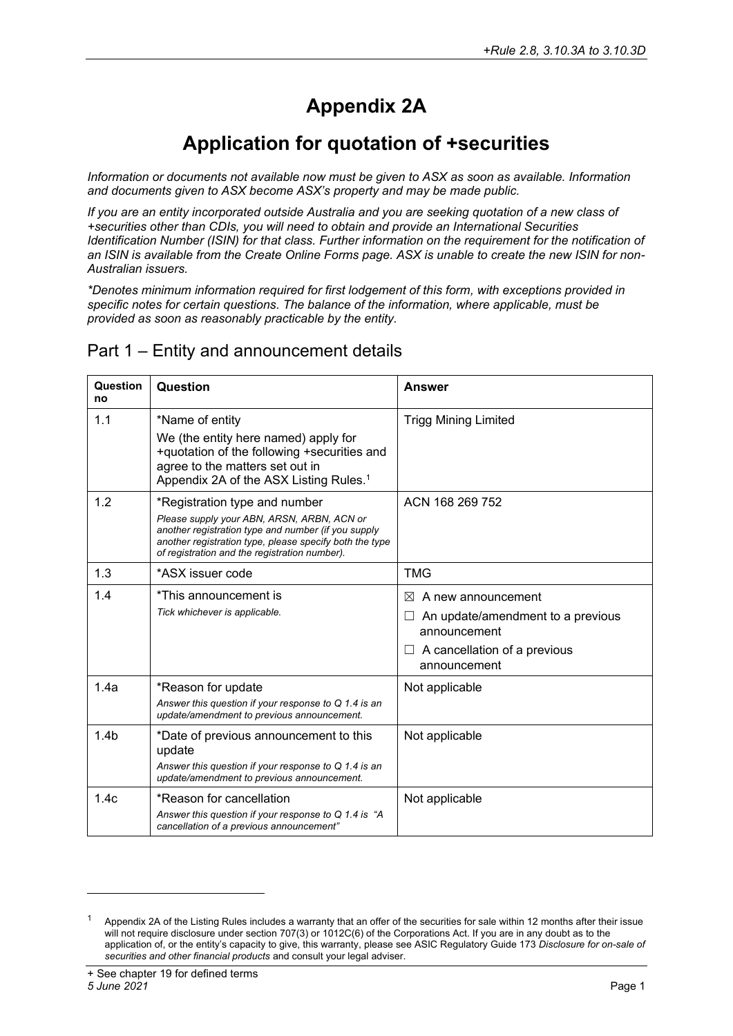# **Appendix 2A**

## **Application for quotation of +securities**

*Information or documents not available now must be given to ASX as soon as available. Information and documents given to ASX become ASX's property and may be made public.*

*If you are an entity incorporated outside Australia and you are seeking quotation of a new class of +securities other than CDIs, you will need to obtain and provide an International Securities Identification Number (ISIN) for that class. Further information on the requirement for the notification of an ISIN is available from the Create Online Forms page. ASX is unable to create the new ISIN for non-Australian issuers.* 

*\*Denotes minimum information required for first lodgement of this form, with exceptions provided in specific notes for certain questions. The balance of the information, where applicable, must be provided as soon as reasonably practicable by the entity.*

#### Part 1 – Entity and announcement details

| Question<br>no   | Question                                                                                                                                                                                                                                       | <b>Answer</b>                                                                                                                                                  |
|------------------|------------------------------------------------------------------------------------------------------------------------------------------------------------------------------------------------------------------------------------------------|----------------------------------------------------------------------------------------------------------------------------------------------------------------|
| 1.1              | *Name of entity<br>We (the entity here named) apply for<br>+quotation of the following +securities and<br>agree to the matters set out in<br>Appendix 2A of the ASX Listing Rules. <sup>1</sup>                                                | <b>Trigg Mining Limited</b>                                                                                                                                    |
| 1.2              | *Registration type and number<br>Please supply your ABN, ARSN, ARBN, ACN or<br>another registration type and number (if you supply<br>another registration type, please specify both the type<br>of registration and the registration number). | ACN 168 269 752                                                                                                                                                |
| 1.3              | *ASX issuer code                                                                                                                                                                                                                               | <b>TMG</b>                                                                                                                                                     |
| 1.4              | *This announcement is<br>Tick whichever is applicable.                                                                                                                                                                                         | $\bowtie$<br>A new announcement<br>An update/amendment to a previous<br>$\mathbf{L}$<br>announcement<br>A cancellation of a previous<br>$\Box$<br>announcement |
| 1.4a             | *Reason for update<br>Answer this question if your response to $Q$ 1.4 is an<br>update/amendment to previous announcement.                                                                                                                     | Not applicable                                                                                                                                                 |
| 1.4 <sub>b</sub> | *Date of previous announcement to this<br>update<br>Answer this question if your response to $Q$ 1.4 is an<br>update/amendment to previous announcement.                                                                                       | Not applicable                                                                                                                                                 |
| 1.4 <sub>c</sub> | *Reason for cancellation<br>Answer this question if your response to Q 1.4 is "A<br>cancellation of a previous announcement"                                                                                                                   | Not applicable                                                                                                                                                 |

Appendix 2A of the Listing Rules includes a warranty that an offer of the securities for sale within 12 months after their issue will not require disclosure under section 707(3) or 1012C(6) of the Corporations Act. If you are in any doubt as to the application of, or the entity's capacity to give, this warranty, please see ASIC Regulatory Guide 173 *Disclosure for on-sale of securities and other financial products* and consult your legal adviser.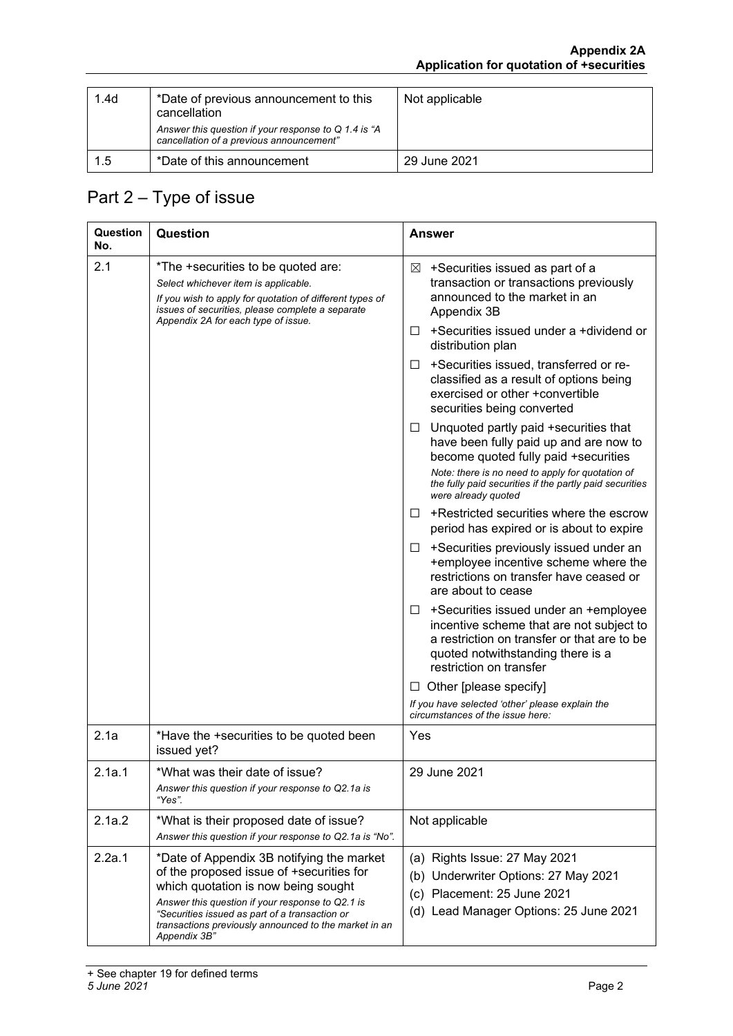| 1.4 <sub>d</sub> | *Date of previous announcement to this<br>cancellation                                           | Not applicable |
|------------------|--------------------------------------------------------------------------------------------------|----------------|
|                  | Answer this question if your response to Q 1.4 is "A<br>cancellation of a previous announcement" |                |
| 1.5              | *Date of this announcement                                                                       | 29 June 2021   |

## Part 2 – Type of issue

| Question<br>No. | Question                                                                                                                                                                                                                                                                                                    | <b>Answer</b>                                                                                                                                                                                                                               |
|-----------------|-------------------------------------------------------------------------------------------------------------------------------------------------------------------------------------------------------------------------------------------------------------------------------------------------------------|---------------------------------------------------------------------------------------------------------------------------------------------------------------------------------------------------------------------------------------------|
| 2.1             | *The +securities to be quoted are:<br>Select whichever item is applicable.<br>If you wish to apply for quotation of different types of<br>issues of securities, please complete a separate<br>Appendix 2A for each type of issue.                                                                           | +Securities issued as part of a<br>$\boxtimes$<br>transaction or transactions previously<br>announced to the market in an<br>Appendix 3B                                                                                                    |
|                 |                                                                                                                                                                                                                                                                                                             | +Securities issued under a +dividend or<br>$\perp$<br>distribution plan                                                                                                                                                                     |
|                 |                                                                                                                                                                                                                                                                                                             | +Securities issued, transferred or re-<br>□<br>classified as a result of options being<br>exercised or other +convertible<br>securities being converted                                                                                     |
|                 |                                                                                                                                                                                                                                                                                                             | Unquoted partly paid +securities that<br>⊔<br>have been fully paid up and are now to<br>become quoted fully paid +securities<br>Note: there is no need to apply for quotation of<br>the fully paid securities if the partly paid securities |
|                 |                                                                                                                                                                                                                                                                                                             | were already quoted<br>+Restricted securities where the escrow<br>П<br>period has expired or is about to expire                                                                                                                             |
|                 |                                                                                                                                                                                                                                                                                                             | +Securities previously issued under an<br>ш<br>+employee incentive scheme where the<br>restrictions on transfer have ceased or<br>are about to cease                                                                                        |
|                 |                                                                                                                                                                                                                                                                                                             | +Securities issued under an +employee<br>⊔<br>incentive scheme that are not subject to<br>a restriction on transfer or that are to be<br>quoted notwithstanding there is a<br>restriction on transfer                                       |
|                 |                                                                                                                                                                                                                                                                                                             | Other [please specify]<br>ш                                                                                                                                                                                                                 |
|                 |                                                                                                                                                                                                                                                                                                             | If you have selected 'other' please explain the<br>circumstances of the issue here:                                                                                                                                                         |
| 2.1a            | *Have the +securities to be quoted been<br>issued yet?                                                                                                                                                                                                                                                      | Yes                                                                                                                                                                                                                                         |
| 2.1a.1          | *What was their date of issue?<br>Answer this question if your response to Q2.1a is<br>"Yes".                                                                                                                                                                                                               | 29 June 2021                                                                                                                                                                                                                                |
| 2.1a.2          | *What is their proposed date of issue?<br>Answer this question if your response to Q2.1a is "No".                                                                                                                                                                                                           | Not applicable                                                                                                                                                                                                                              |
| 2.2a.1          | *Date of Appendix 3B notifying the market<br>of the proposed issue of +securities for<br>which quotation is now being sought<br>Answer this question if your response to Q2.1 is<br>"Securities issued as part of a transaction or<br>transactions previously announced to the market in an<br>Appendix 3B" | (a) Rights Issue: 27 May 2021<br>(b) Underwriter Options: 27 May 2021<br>(c) Placement: 25 June 2021<br>(d) Lead Manager Options: 25 June 2021                                                                                              |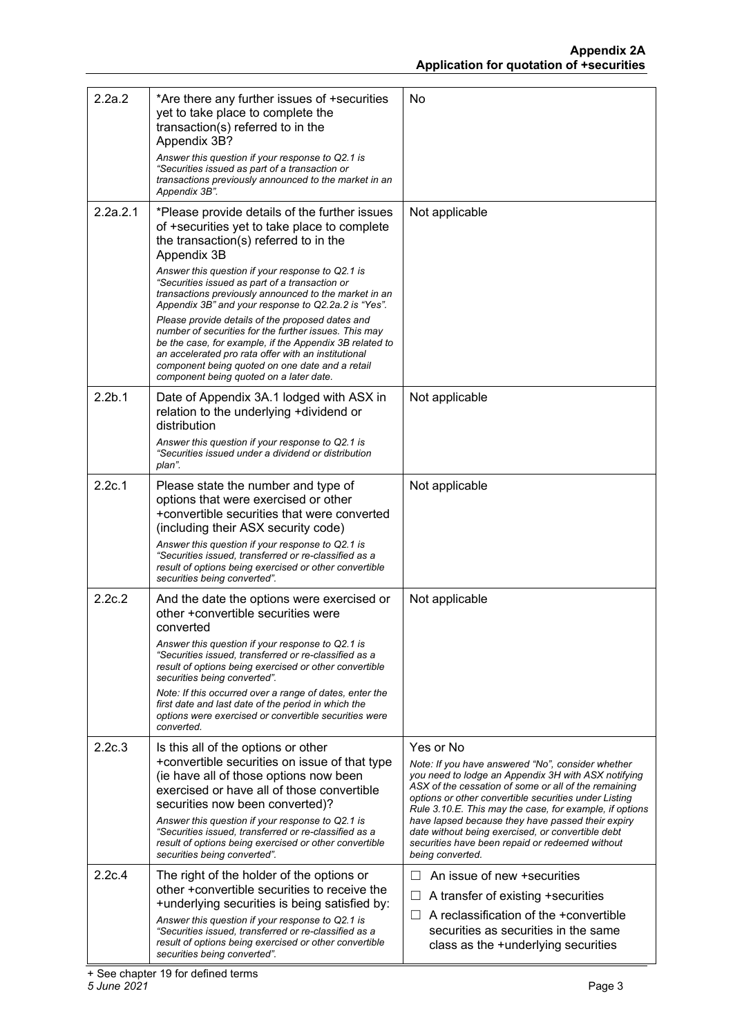| 2.2a.2             | *Are there any further issues of +securities<br>yet to take place to complete the<br>transaction(s) referred to in the<br>Appendix 3B?<br>Answer this question if your response to Q2.1 is<br>"Securities issued as part of a transaction or<br>transactions previously announced to the market in an<br>Appendix 3B".                                                                                                                                                                                                                                                                                                                                                                                   | No                                                                                                                                                                                                                                                                                                                                                                                                                                                                                 |
|--------------------|----------------------------------------------------------------------------------------------------------------------------------------------------------------------------------------------------------------------------------------------------------------------------------------------------------------------------------------------------------------------------------------------------------------------------------------------------------------------------------------------------------------------------------------------------------------------------------------------------------------------------------------------------------------------------------------------------------|------------------------------------------------------------------------------------------------------------------------------------------------------------------------------------------------------------------------------------------------------------------------------------------------------------------------------------------------------------------------------------------------------------------------------------------------------------------------------------|
| 2.2a.2.1           | *Please provide details of the further issues<br>of +securities yet to take place to complete<br>the transaction(s) referred to in the<br>Appendix 3B<br>Answer this question if your response to Q2.1 is<br>"Securities issued as part of a transaction or<br>transactions previously announced to the market in an<br>Appendix 3B" and your response to Q2.2a.2 is "Yes".<br>Please provide details of the proposed dates and<br>number of securities for the further issues. This may<br>be the case, for example, if the Appendix 3B related to<br>an accelerated pro rata offer with an institutional<br>component being quoted on one date and a retail<br>component being quoted on a later date. | Not applicable                                                                                                                                                                                                                                                                                                                                                                                                                                                                     |
| 2.2 <sub>b.1</sub> | Date of Appendix 3A.1 lodged with ASX in<br>relation to the underlying +dividend or<br>distribution<br>Answer this question if your response to Q2.1 is<br>"Securities issued under a dividend or distribution<br>plan".                                                                                                                                                                                                                                                                                                                                                                                                                                                                                 | Not applicable                                                                                                                                                                                                                                                                                                                                                                                                                                                                     |
| 2.2c.1             | Please state the number and type of<br>options that were exercised or other<br>+convertible securities that were converted<br>(including their ASX security code)<br>Answer this question if your response to Q2.1 is<br>"Securities issued, transferred or re-classified as a<br>result of options being exercised or other convertible<br>securities being converted".                                                                                                                                                                                                                                                                                                                                 | Not applicable                                                                                                                                                                                                                                                                                                                                                                                                                                                                     |
| 2.2c.2             | And the date the options were exercised or<br>other +convertible securities were<br>converted<br>Answer this question if your response to Q2.1 is<br>"Securities issued, transferred or re-classified as a<br>result of options being exercised or other convertible<br>securities being converted".<br>Note: If this occurred over a range of dates, enter the<br>first date and last date of the period in which the<br>options were exercised or convertible securities were<br>converted.                                                                                                                                                                                                            | Not applicable                                                                                                                                                                                                                                                                                                                                                                                                                                                                     |
| 2.2c.3             | Is this all of the options or other<br>+convertible securities on issue of that type<br>(ie have all of those options now been<br>exercised or have all of those convertible<br>securities now been converted)?<br>Answer this question if your response to Q2.1 is<br>"Securities issued, transferred or re-classified as a<br>result of options being exercised or other convertible<br>securities being converted".                                                                                                                                                                                                                                                                                   | Yes or No<br>Note: If you have answered "No", consider whether<br>you need to lodge an Appendix 3H with ASX notifying<br>ASX of the cessation of some or all of the remaining<br>options or other convertible securities under Listing<br>Rule 3.10.E. This may the case, for example, if options<br>have lapsed because they have passed their expiry<br>date without being exercised, or convertible debt<br>securities have been repaid or redeemed without<br>being converted. |
| 2.2c.4             | The right of the holder of the options or<br>other +convertible securities to receive the<br>+underlying securities is being satisfied by:<br>Answer this question if your response to Q2.1 is<br>"Securities issued, transferred or re-classified as a<br>result of options being exercised or other convertible<br>securities being converted".                                                                                                                                                                                                                                                                                                                                                        | An issue of new +securities<br>A transfer of existing +securities<br>ப<br>A reclassification of the +convertible<br>Fт<br>securities as securities in the same<br>class as the +underlying securities                                                                                                                                                                                                                                                                              |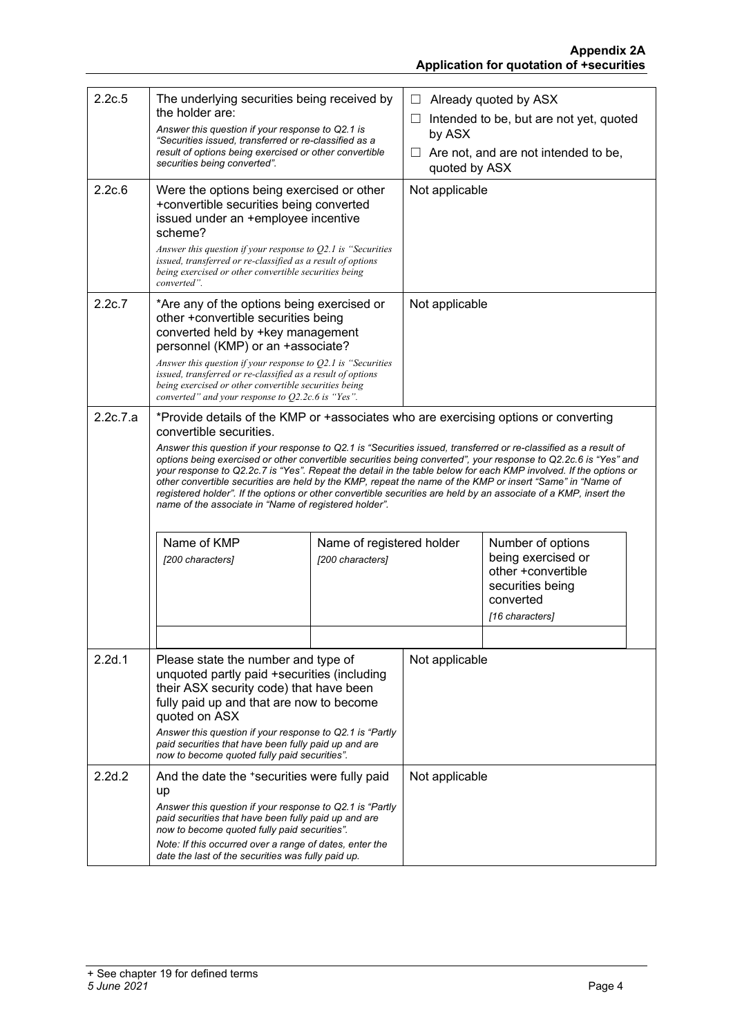| 2.2c.5                                                                                                                                                                                                                                                                                                                                                                                                                                                                                                                                                                                                                                                                                                                                                                          | The underlying securities being received by<br>the holder are:<br>Answer this question if your response to Q2.1 is<br>"Securities issued, transferred or re-classified as a<br>result of options being exercised or other convertible<br>securities being converted".                                                                                                                                     |                                               | ப<br>$\Box$<br>by ASX<br>quoted by ASX | Already quoted by ASX<br>Intended to be, but are not yet, quoted<br>$\Box$ Are not, and are not intended to be,   |  |
|---------------------------------------------------------------------------------------------------------------------------------------------------------------------------------------------------------------------------------------------------------------------------------------------------------------------------------------------------------------------------------------------------------------------------------------------------------------------------------------------------------------------------------------------------------------------------------------------------------------------------------------------------------------------------------------------------------------------------------------------------------------------------------|-----------------------------------------------------------------------------------------------------------------------------------------------------------------------------------------------------------------------------------------------------------------------------------------------------------------------------------------------------------------------------------------------------------|-----------------------------------------------|----------------------------------------|-------------------------------------------------------------------------------------------------------------------|--|
| 2.2c.6                                                                                                                                                                                                                                                                                                                                                                                                                                                                                                                                                                                                                                                                                                                                                                          | Were the options being exercised or other<br>+convertible securities being converted<br>issued under an +employee incentive<br>scheme?<br>Answer this question if your response to $Q2.1$ is "Securities<br>issued, transferred or re-classified as a result of options<br>being exercised or other convertible securities being<br>converted".                                                           |                                               | Not applicable                         |                                                                                                                   |  |
| 2.2c.7                                                                                                                                                                                                                                                                                                                                                                                                                                                                                                                                                                                                                                                                                                                                                                          | *Are any of the options being exercised or<br>other +convertible securities being<br>converted held by +key management<br>personnel (KMP) or an +associate?<br>Answer this question if your response to O2.1 is "Securities"<br>issued, transferred or re-classified as a result of options<br>being exercised or other convertible securities being<br>converted" and your response to O2.2c.6 is "Yes". |                                               | Not applicable                         |                                                                                                                   |  |
| *Provide details of the KMP or +associates who are exercising options or converting<br>2.2c.7.a<br>convertible securities.<br>Answer this question if your response to Q2.1 is "Securities issued, transferred or re-classified as a result of<br>options being exercised or other convertible securities being converted", your response to Q2.2c.6 is "Yes" and<br>your response to Q2.2c.7 is "Yes". Repeat the detail in the table below for each KMP involved. If the options or<br>other convertible securities are held by the KMP, repeat the name of the KMP or insert "Same" in "Name of<br>registered holder". If the options or other convertible securities are held by an associate of a KMP, insert the<br>name of the associate in "Name of registered holder". |                                                                                                                                                                                                                                                                                                                                                                                                           |                                               |                                        |                                                                                                                   |  |
|                                                                                                                                                                                                                                                                                                                                                                                                                                                                                                                                                                                                                                                                                                                                                                                 | Name of KMP<br>[200 characters]                                                                                                                                                                                                                                                                                                                                                                           | Name of registered holder<br>[200 characters] |                                        | Number of options<br>being exercised or<br>other +convertible<br>securities being<br>converted<br>[16 characters] |  |
| 2.2d.1                                                                                                                                                                                                                                                                                                                                                                                                                                                                                                                                                                                                                                                                                                                                                                          | Please state the number and type of<br>unquoted partly paid +securities (including<br>their ASX security code) that have been<br>fully paid up and that are now to become<br>quoted on ASX<br>Answer this question if your response to Q2.1 is "Partly<br>paid securities that have been fully paid up and are<br>now to become quoted fully paid securities".                                            |                                               | Not applicable                         |                                                                                                                   |  |
| 2.2d.2                                                                                                                                                                                                                                                                                                                                                                                                                                                                                                                                                                                                                                                                                                                                                                          | And the date the *securities were fully paid<br>up<br>Answer this question if your response to Q2.1 is "Partly"<br>paid securities that have been fully paid up and are<br>now to become quoted fully paid securities".<br>Note: If this occurred over a range of dates, enter the<br>date the last of the securities was fully paid up.                                                                  |                                               | Not applicable                         |                                                                                                                   |  |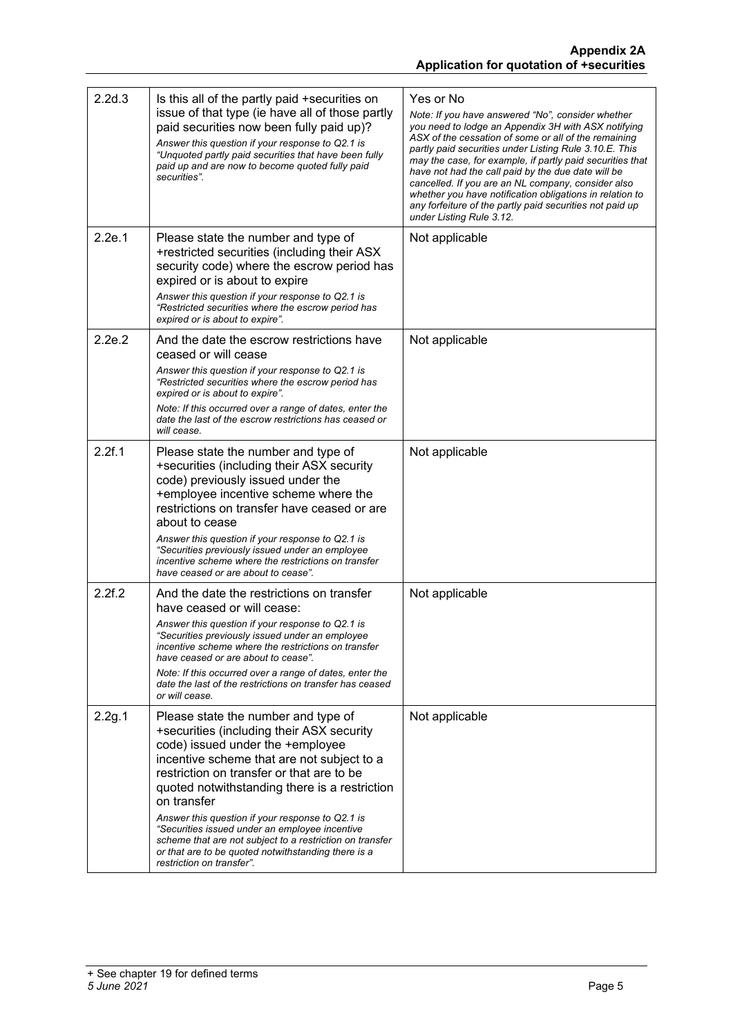| 2.2d.3 | Is this all of the partly paid +securities on<br>issue of that type (ie have all of those partly<br>paid securities now been fully paid up)?<br>Answer this question if your response to Q2.1 is<br>"Unquoted partly paid securities that have been fully<br>paid up and are now to become quoted fully paid<br>securities".                                                                                                                                                                                                          | Yes or No<br>Note: If you have answered "No", consider whether<br>you need to lodge an Appendix 3H with ASX notifying<br>ASX of the cessation of some or all of the remaining<br>partly paid securities under Listing Rule 3.10.E. This<br>may the case, for example, if partly paid securities that<br>have not had the call paid by the due date will be<br>cancelled. If you are an NL company, consider also<br>whether you have notification obligations in relation to<br>any forfeiture of the partly paid securities not paid up<br>under Listing Rule 3.12. |
|--------|---------------------------------------------------------------------------------------------------------------------------------------------------------------------------------------------------------------------------------------------------------------------------------------------------------------------------------------------------------------------------------------------------------------------------------------------------------------------------------------------------------------------------------------|----------------------------------------------------------------------------------------------------------------------------------------------------------------------------------------------------------------------------------------------------------------------------------------------------------------------------------------------------------------------------------------------------------------------------------------------------------------------------------------------------------------------------------------------------------------------|
| 2.2e.1 | Please state the number and type of<br>+restricted securities (including their ASX<br>security code) where the escrow period has<br>expired or is about to expire<br>Answer this question if your response to Q2.1 is<br>"Restricted securities where the escrow period has<br>expired or is about to expire".                                                                                                                                                                                                                        | Not applicable                                                                                                                                                                                                                                                                                                                                                                                                                                                                                                                                                       |
| 2.2e.2 | And the date the escrow restrictions have<br>ceased or will cease<br>Answer this question if your response to Q2.1 is<br>"Restricted securities where the escrow period has<br>expired or is about to expire".<br>Note: If this occurred over a range of dates, enter the<br>date the last of the escrow restrictions has ceased or<br>will cease.                                                                                                                                                                                    | Not applicable                                                                                                                                                                                                                                                                                                                                                                                                                                                                                                                                                       |
| 2.2f.1 | Please state the number and type of<br>+securities (including their ASX security<br>code) previously issued under the<br>+employee incentive scheme where the<br>restrictions on transfer have ceased or are<br>about to cease<br>Answer this question if your response to Q2.1 is<br>"Securities previously issued under an employee<br>incentive scheme where the restrictions on transfer<br>have ceased or are about to cease".                                                                                                   | Not applicable                                                                                                                                                                                                                                                                                                                                                                                                                                                                                                                                                       |
| 2.2f.2 | And the date the restrictions on transfer<br>have ceased or will cease:<br>Answer this question if your response to Q2.1 is<br>"Securities previously issued under an employee<br>incentive scheme where the restrictions on transfer<br>have ceased or are about to cease".<br>Note: If this occurred over a range of dates, enter the<br>date the last of the restrictions on transfer has ceased<br>or will cease.                                                                                                                 | Not applicable                                                                                                                                                                                                                                                                                                                                                                                                                                                                                                                                                       |
| 2.2g.1 | Please state the number and type of<br>+securities (including their ASX security<br>code) issued under the +employee<br>incentive scheme that are not subject to a<br>restriction on transfer or that are to be<br>quoted notwithstanding there is a restriction<br>on transfer<br>Answer this question if your response to Q2.1 is<br>"Securities issued under an employee incentive<br>scheme that are not subject to a restriction on transfer<br>or that are to be quoted notwithstanding there is a<br>restriction on transfer". | Not applicable                                                                                                                                                                                                                                                                                                                                                                                                                                                                                                                                                       |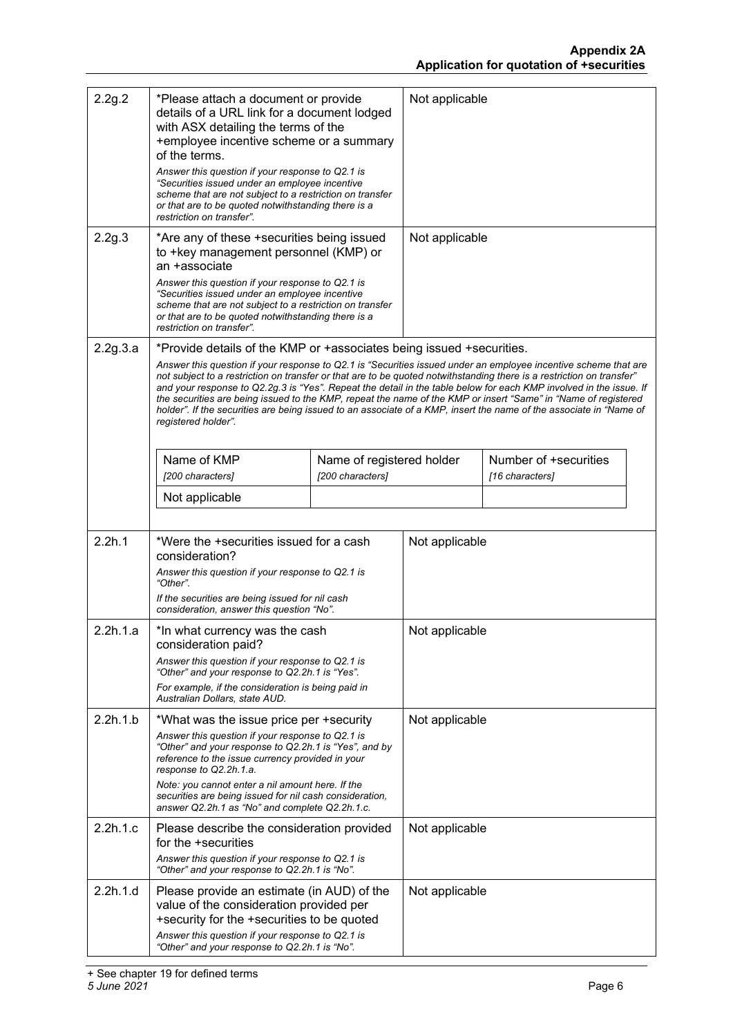| 2.2g.2   | *Please attach a document or provide<br>details of a URL link for a document lodged<br>with ASX detailing the terms of the<br>+employee incentive scheme or a summary                                                                                                                                                                                                                                                                                                                                                                                                                                                                                                                                 |                           | Not applicable |                       |
|----------|-------------------------------------------------------------------------------------------------------------------------------------------------------------------------------------------------------------------------------------------------------------------------------------------------------------------------------------------------------------------------------------------------------------------------------------------------------------------------------------------------------------------------------------------------------------------------------------------------------------------------------------------------------------------------------------------------------|---------------------------|----------------|-----------------------|
|          | of the terms.<br>Answer this question if your response to Q2.1 is<br>"Securities issued under an employee incentive<br>scheme that are not subject to a restriction on transfer<br>or that are to be quoted notwithstanding there is a<br>restriction on transfer".                                                                                                                                                                                                                                                                                                                                                                                                                                   |                           |                |                       |
| 2.2g.3   | *Are any of these +securities being issued<br>to +key management personnel (KMP) or<br>an +associate                                                                                                                                                                                                                                                                                                                                                                                                                                                                                                                                                                                                  |                           | Not applicable |                       |
|          | Answer this question if your response to Q2.1 is<br>"Securities issued under an employee incentive<br>scheme that are not subject to a restriction on transfer<br>or that are to be quoted notwithstanding there is a<br>restriction on transfer".                                                                                                                                                                                                                                                                                                                                                                                                                                                    |                           |                |                       |
| 2.2g.3.a | *Provide details of the KMP or +associates being issued +securities.<br>Answer this question if your response to Q2.1 is "Securities issued under an employee incentive scheme that are<br>not subject to a restriction on transfer or that are to be quoted notwithstanding there is a restriction on transfer"<br>and your response to Q2.2g.3 is "Yes". Repeat the detail in the table below for each KMP involved in the issue. If<br>the securities are being issued to the KMP, repeat the name of the KMP or insert "Same" in "Name of registered<br>holder". If the securities are being issued to an associate of a KMP, insert the name of the associate in "Name of<br>registered holder". |                           |                |                       |
|          | Name of KMP                                                                                                                                                                                                                                                                                                                                                                                                                                                                                                                                                                                                                                                                                           | Name of registered holder |                | Number of +securities |
|          | [200 characters]                                                                                                                                                                                                                                                                                                                                                                                                                                                                                                                                                                                                                                                                                      | [200 characters]          |                | [16 characters]       |
|          | Not applicable                                                                                                                                                                                                                                                                                                                                                                                                                                                                                                                                                                                                                                                                                        |                           |                |                       |
| 2.2h.1   | *Were the +securities issued for a cash<br>consideration?<br>Answer this question if your response to Q2.1 is<br>"Other".<br>If the securities are being issued for nil cash                                                                                                                                                                                                                                                                                                                                                                                                                                                                                                                          |                           | Not applicable |                       |
| 2.2h.1.a | consideration, answer this question "No".<br>*In what currency was the cash<br>consideration paid?                                                                                                                                                                                                                                                                                                                                                                                                                                                                                                                                                                                                    |                           | Not applicable |                       |
|          | Answer this question if your response to Q2.1 is<br>"Other" and your response to Q2.2h.1 is "Yes".                                                                                                                                                                                                                                                                                                                                                                                                                                                                                                                                                                                                    |                           |                |                       |
|          | For example, if the consideration is being paid in<br>Australian Dollars, state AUD.                                                                                                                                                                                                                                                                                                                                                                                                                                                                                                                                                                                                                  |                           |                |                       |
| 2.2h.1.b | *What was the issue price per +security                                                                                                                                                                                                                                                                                                                                                                                                                                                                                                                                                                                                                                                               |                           | Not applicable |                       |
|          | Answer this question if your response to Q2.1 is<br>"Other" and your response to Q2.2h.1 is "Yes", and by<br>reference to the issue currency provided in your<br>response to Q2.2h.1.a.<br>Note: you cannot enter a nil amount here. If the<br>securities are being issued for nil cash consideration,<br>answer Q2.2h.1 as "No" and complete Q2.2h.1.c.                                                                                                                                                                                                                                                                                                                                              |                           |                |                       |
| 2.2h.1.c | Please describe the consideration provided<br>for the +securities<br>Answer this question if your response to Q2.1 is<br>"Other" and your response to Q2.2h.1 is "No".                                                                                                                                                                                                                                                                                                                                                                                                                                                                                                                                |                           | Not applicable |                       |
| 2.2h.1.d | Please provide an estimate (in AUD) of the<br>value of the consideration provided per<br>+security for the +securities to be quoted<br>Answer this question if your response to Q2.1 is                                                                                                                                                                                                                                                                                                                                                                                                                                                                                                               |                           | Not applicable |                       |
|          | "Other" and your response to Q2.2h.1 is "No".                                                                                                                                                                                                                                                                                                                                                                                                                                                                                                                                                                                                                                                         |                           |                |                       |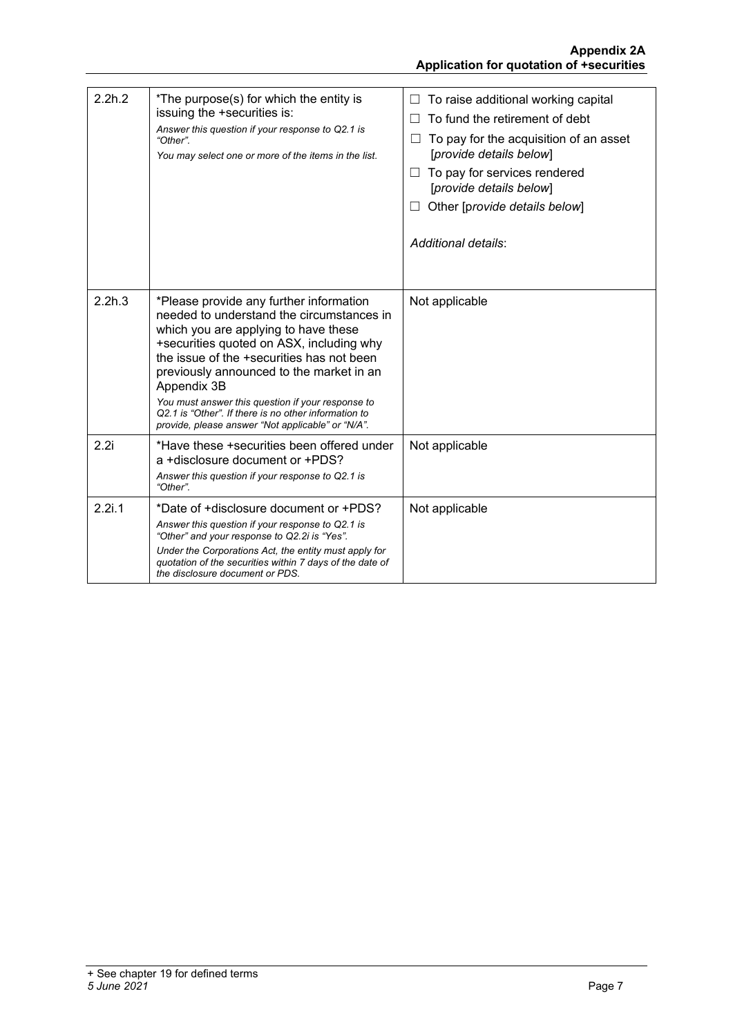| 2.2h.2 | *The purpose(s) for which the entity is<br>issuing the +securities is:<br>Answer this question if your response to Q2.1 is<br>"Other".<br>You may select one or more of the items in the list.                                                                                                                                                                                                                                                     | To raise additional working capital<br>To fund the retirement of debt<br>To pay for the acquisition of an asset<br>[provide details below]<br>To pay for services rendered<br>[provide details below]<br>Other [provide details below]<br>Additional details: |
|--------|----------------------------------------------------------------------------------------------------------------------------------------------------------------------------------------------------------------------------------------------------------------------------------------------------------------------------------------------------------------------------------------------------------------------------------------------------|---------------------------------------------------------------------------------------------------------------------------------------------------------------------------------------------------------------------------------------------------------------|
| 2.2h.3 | *Please provide any further information<br>needed to understand the circumstances in<br>which you are applying to have these<br>+securities quoted on ASX, including why<br>the issue of the +securities has not been<br>previously announced to the market in an<br>Appendix 3B<br>You must answer this question if your response to<br>Q2.1 is "Other". If there is no other information to<br>provide, please answer "Not applicable" or "N/A". | Not applicable                                                                                                                                                                                                                                                |
| 2.2i   | *Have these +securities been offered under<br>a +disclosure document or +PDS?<br>Answer this question if your response to Q2.1 is<br>"Other".                                                                                                                                                                                                                                                                                                      | Not applicable                                                                                                                                                                                                                                                |
| 2.2i.1 | *Date of +disclosure document or +PDS?<br>Answer this question if your response to Q2.1 is<br>"Other" and your response to Q2.2i is "Yes".<br>Under the Corporations Act, the entity must apply for<br>quotation of the securities within 7 days of the date of<br>the disclosure document or PDS.                                                                                                                                                 | Not applicable                                                                                                                                                                                                                                                |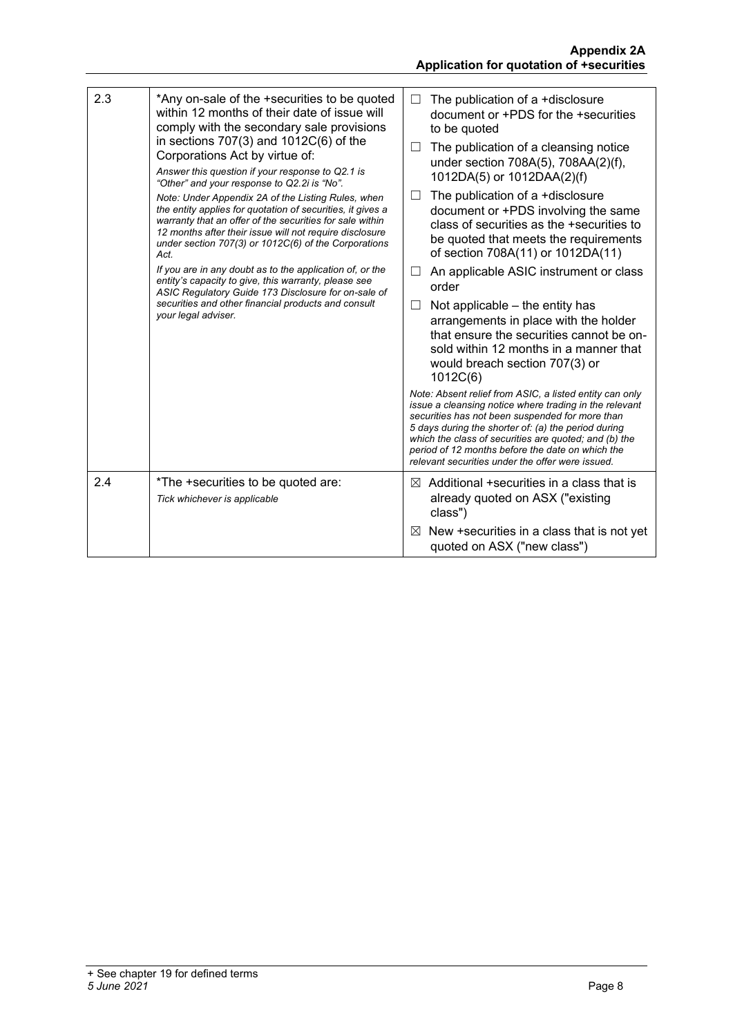| 2.3                                                                                                                                                                                                                                                                                                     | *Any on-sale of the +securities to be quoted<br>within 12 months of their date of issue will<br>comply with the secondary sale provisions                               | $\Box$                                                                                                                                                                                                       | The publication of a +disclosure<br>document or +PDS for the +securities<br>to be quoted                                                                                                                                                                                                                                                                                                     |
|---------------------------------------------------------------------------------------------------------------------------------------------------------------------------------------------------------------------------------------------------------------------------------------------------------|-------------------------------------------------------------------------------------------------------------------------------------------------------------------------|--------------------------------------------------------------------------------------------------------------------------------------------------------------------------------------------------------------|----------------------------------------------------------------------------------------------------------------------------------------------------------------------------------------------------------------------------------------------------------------------------------------------------------------------------------------------------------------------------------------------|
|                                                                                                                                                                                                                                                                                                         | in sections $707(3)$ and $1012C(6)$ of the<br>Corporations Act by virtue of:                                                                                            | П                                                                                                                                                                                                            | The publication of a cleansing notice<br>under section 708A(5), 708AA(2)(f),                                                                                                                                                                                                                                                                                                                 |
|                                                                                                                                                                                                                                                                                                         | Answer this question if your response to Q2.1 is<br>"Other" and your response to Q2.2i is "No".                                                                         |                                                                                                                                                                                                              | 1012DA(5) or 1012DAA(2)(f)                                                                                                                                                                                                                                                                                                                                                                   |
| Note: Under Appendix 2A of the Listing Rules, when<br>the entity applies for quotation of securities, it gives a<br>warranty that an offer of the securities for sale within<br>12 months after their issue will not require disclosure<br>under section 707(3) or 1012C(6) of the Corporations<br>Act. | $\Box$                                                                                                                                                                  | The publication of a +disclosure<br>document or +PDS involving the same<br>class of securities as the +securities to<br>be quoted that meets the requirements<br>of section 708A(11) or 1012DA(11)           |                                                                                                                                                                                                                                                                                                                                                                                              |
|                                                                                                                                                                                                                                                                                                         | If you are in any doubt as to the application of, or the<br>entity's capacity to give, this warranty, please see<br>ASIC Regulatory Guide 173 Disclosure for on-sale of | $\Box$                                                                                                                                                                                                       | An applicable ASIC instrument or class<br>order                                                                                                                                                                                                                                                                                                                                              |
| securities and other financial products and consult<br>your legal adviser.<br>2.4<br>*The +securities to be quoted are:<br>Tick whichever is applicable                                                                                                                                                 | $\Box$                                                                                                                                                                  | Not applicable – the entity has<br>arrangements in place with the holder<br>that ensure the securities cannot be on-<br>sold within 12 months in a manner that<br>would breach section 707(3) or<br>1012C(6) |                                                                                                                                                                                                                                                                                                                                                                                              |
|                                                                                                                                                                                                                                                                                                         |                                                                                                                                                                         |                                                                                                                                                                                                              | Note: Absent relief from ASIC, a listed entity can only<br>issue a cleansing notice where trading in the relevant<br>securities has not been suspended for more than<br>5 days during the shorter of: (a) the period during<br>which the class of securities are quoted; and (b) the<br>period of 12 months before the date on which the<br>relevant securities under the offer were issued. |
|                                                                                                                                                                                                                                                                                                         |                                                                                                                                                                         |                                                                                                                                                                                                              | $\boxtimes$ Additional +securities in a class that is<br>already quoted on ASX ("existing<br>class")                                                                                                                                                                                                                                                                                         |
|                                                                                                                                                                                                                                                                                                         |                                                                                                                                                                         | $\boxtimes$                                                                                                                                                                                                  | New +securities in a class that is not yet<br>quoted on ASX ("new class")                                                                                                                                                                                                                                                                                                                    |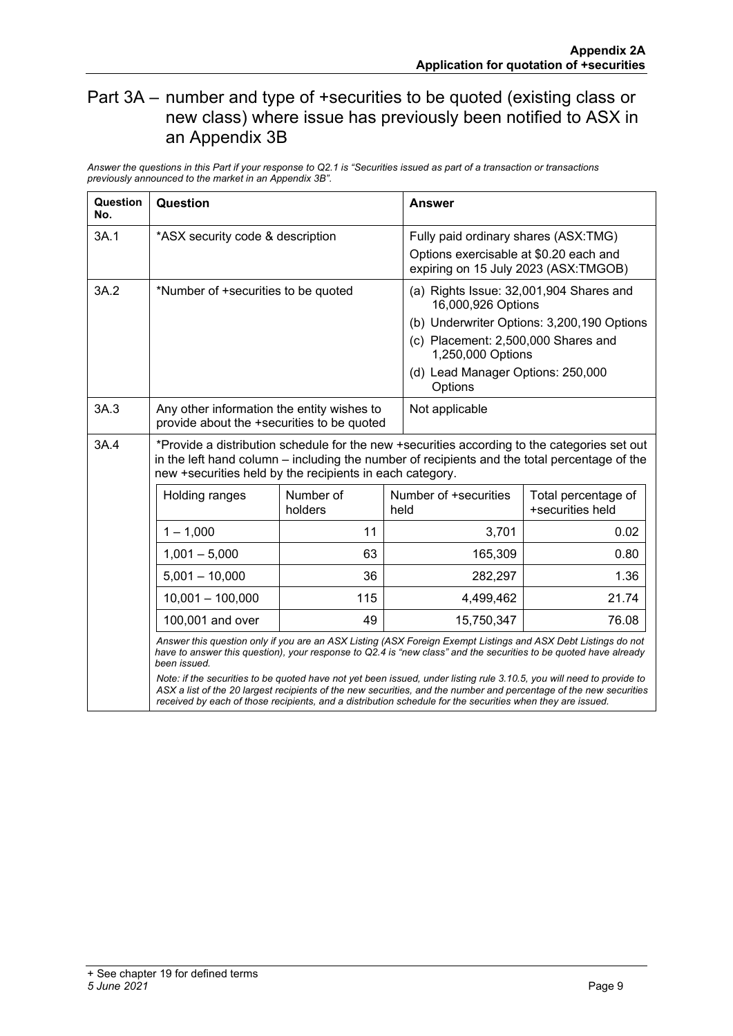### Part 3A – number and type of +securities to be quoted (existing class or new class) where issue has previously been notified to ASX in an Appendix 3B

*Answer the questions in this Part if your response to Q2.1 is "Securities issued as part of a transaction or transactions previously announced to the market in an Appendix 3B".*

| Question<br>No. | Question                                                                                                                                                                                                                                                                                                                                                                                                                                                                                                                                                                                                                                                                                         |                      | <b>Answer</b>                                                 |                                                          |                                                                                |  |
|-----------------|--------------------------------------------------------------------------------------------------------------------------------------------------------------------------------------------------------------------------------------------------------------------------------------------------------------------------------------------------------------------------------------------------------------------------------------------------------------------------------------------------------------------------------------------------------------------------------------------------------------------------------------------------------------------------------------------------|----------------------|---------------------------------------------------------------|----------------------------------------------------------|--------------------------------------------------------------------------------|--|
| 3A.1            | *ASX security code & description                                                                                                                                                                                                                                                                                                                                                                                                                                                                                                                                                                                                                                                                 |                      |                                                               | Fully paid ordinary shares (ASX:TMG)                     |                                                                                |  |
|                 |                                                                                                                                                                                                                                                                                                                                                                                                                                                                                                                                                                                                                                                                                                  |                      |                                                               |                                                          | Options exercisable at \$0.20 each and<br>expiring on 15 July 2023 (ASX:TMGOB) |  |
| 3A.2            | *Number of +securities to be quoted                                                                                                                                                                                                                                                                                                                                                                                                                                                                                                                                                                                                                                                              |                      | (a) Rights Issue: 32,001,904 Shares and<br>16,000,926 Options |                                                          |                                                                                |  |
|                 |                                                                                                                                                                                                                                                                                                                                                                                                                                                                                                                                                                                                                                                                                                  |                      |                                                               | (b) Underwriter Options: 3,200,190 Options               |                                                                                |  |
|                 |                                                                                                                                                                                                                                                                                                                                                                                                                                                                                                                                                                                                                                                                                                  |                      |                                                               | (c) Placement: 2,500,000 Shares and<br>1,250,000 Options |                                                                                |  |
|                 |                                                                                                                                                                                                                                                                                                                                                                                                                                                                                                                                                                                                                                                                                                  |                      |                                                               | (d) Lead Manager Options: 250,000<br>Options             |                                                                                |  |
| 3A.3            | Any other information the entity wishes to<br>provide about the +securities to be quoted                                                                                                                                                                                                                                                                                                                                                                                                                                                                                                                                                                                                         |                      |                                                               | Not applicable                                           |                                                                                |  |
| 3A.4            | *Provide a distribution schedule for the new +securities according to the categories set out<br>in the left hand column – including the number of recipients and the total percentage of the<br>new +securities held by the recipients in each category.                                                                                                                                                                                                                                                                                                                                                                                                                                         |                      |                                                               |                                                          |                                                                                |  |
|                 | Holding ranges                                                                                                                                                                                                                                                                                                                                                                                                                                                                                                                                                                                                                                                                                   | Number of<br>holders | held                                                          | Number of +securities                                    | Total percentage of<br>+securities held                                        |  |
|                 | $1 - 1,000$                                                                                                                                                                                                                                                                                                                                                                                                                                                                                                                                                                                                                                                                                      | 11                   |                                                               | 3,701                                                    | 0.02                                                                           |  |
|                 | $1,001 - 5,000$                                                                                                                                                                                                                                                                                                                                                                                                                                                                                                                                                                                                                                                                                  | 63                   |                                                               | 165,309                                                  | 0.80                                                                           |  |
|                 | $5,001 - 10,000$                                                                                                                                                                                                                                                                                                                                                                                                                                                                                                                                                                                                                                                                                 | 36                   |                                                               | 282,297                                                  | 1.36                                                                           |  |
|                 | $10,001 - 100,000$<br>115<br>4,499,462<br>100,001 and over<br>49<br>15,750,347<br>Answer this question only if you are an ASX Listing (ASX Foreign Exempt Listings and ASX Debt Listings do not<br>have to answer this question), your response to Q2.4 is "new class" and the securities to be quoted have already<br>been issued.<br>Note: if the securities to be quoted have not yet been issued, under listing rule 3.10.5, you will need to provide to<br>ASX a list of the 20 largest recipients of the new securities, and the number and percentage of the new securities<br>received by each of those recipients, and a distribution schedule for the securities when they are issued. |                      |                                                               |                                                          | 21.74                                                                          |  |
|                 |                                                                                                                                                                                                                                                                                                                                                                                                                                                                                                                                                                                                                                                                                                  |                      |                                                               |                                                          | 76.08                                                                          |  |
|                 |                                                                                                                                                                                                                                                                                                                                                                                                                                                                                                                                                                                                                                                                                                  |                      |                                                               |                                                          |                                                                                |  |
|                 |                                                                                                                                                                                                                                                                                                                                                                                                                                                                                                                                                                                                                                                                                                  |                      |                                                               |                                                          |                                                                                |  |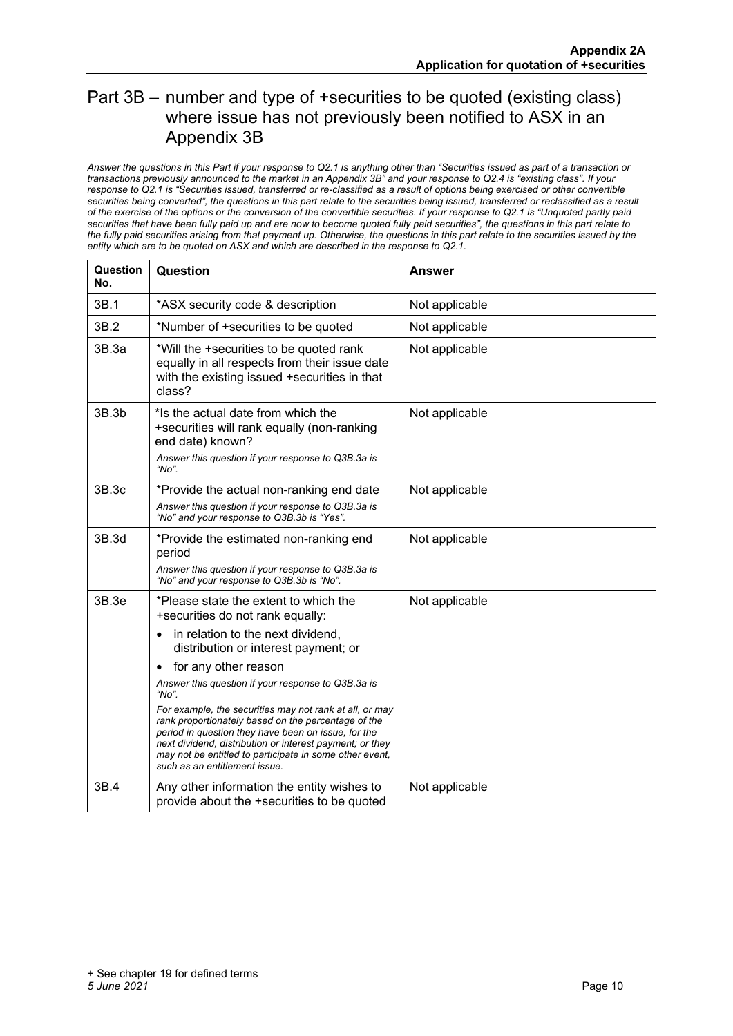#### Part 3B – number and type of +securities to be quoted (existing class) where issue has not previously been notified to ASX in an Appendix 3B

*Answer the questions in this Part if your response to Q2.1 is anything other than "Securities issued as part of a transaction or transactions previously announced to the market in an Appendix 3B" and your response to Q2.4 is "existing class". If your response to Q2.1 is "Securities issued, transferred or re-classified as a result of options being exercised or other convertible securities being converted", the questions in this part relate to the securities being issued, transferred or reclassified as a result of the exercise of the options or the conversion of the convertible securities. If your response to Q2.1 is "Unquoted partly paid securities that have been fully paid up and are now to become quoted fully paid securities", the questions in this part relate to the fully paid securities arising from that payment up. Otherwise, the questions in this part relate to the securities issued by the entity which are to be quoted on ASX and which are described in the response to Q2.1.*

| Question<br>No. | Question                                                                                                                                                                                                                                                                                                                                                                                                                                                                                                                                                                                                 | Answer         |
|-----------------|----------------------------------------------------------------------------------------------------------------------------------------------------------------------------------------------------------------------------------------------------------------------------------------------------------------------------------------------------------------------------------------------------------------------------------------------------------------------------------------------------------------------------------------------------------------------------------------------------------|----------------|
| 3B.1            | *ASX security code & description                                                                                                                                                                                                                                                                                                                                                                                                                                                                                                                                                                         | Not applicable |
| 3B.2            | *Number of +securities to be quoted                                                                                                                                                                                                                                                                                                                                                                                                                                                                                                                                                                      | Not applicable |
| 3B.3a           | *Will the +securities to be quoted rank<br>equally in all respects from their issue date<br>with the existing issued +securities in that<br>class?                                                                                                                                                                                                                                                                                                                                                                                                                                                       | Not applicable |
| 3B.3b           | *Is the actual date from which the<br>+securities will rank equally (non-ranking<br>end date) known?<br>Answer this question if your response to Q3B.3a is<br>"No".                                                                                                                                                                                                                                                                                                                                                                                                                                      | Not applicable |
| 3B.3c           | *Provide the actual non-ranking end date<br>Answer this question if your response to Q3B.3a is<br>"No" and your response to Q3B.3b is "Yes".                                                                                                                                                                                                                                                                                                                                                                                                                                                             | Not applicable |
| 3B.3d           | *Provide the estimated non-ranking end<br>period<br>Answer this question if your response to Q3B.3a is<br>"No" and your response to Q3B.3b is "No".                                                                                                                                                                                                                                                                                                                                                                                                                                                      | Not applicable |
| 3B.3e           | *Please state the extent to which the<br>+securities do not rank equally:<br>in relation to the next dividend,<br>$\bullet$<br>distribution or interest payment; or<br>for any other reason<br>$\bullet$<br>Answer this question if your response to Q3B.3a is<br>"No".<br>For example, the securities may not rank at all, or may<br>rank proportionately based on the percentage of the<br>period in question they have been on issue, for the<br>next dividend, distribution or interest payment; or they<br>may not be entitled to participate in some other event,<br>such as an entitlement issue. | Not applicable |
| 3B.4            | Any other information the entity wishes to<br>provide about the +securities to be quoted                                                                                                                                                                                                                                                                                                                                                                                                                                                                                                                 | Not applicable |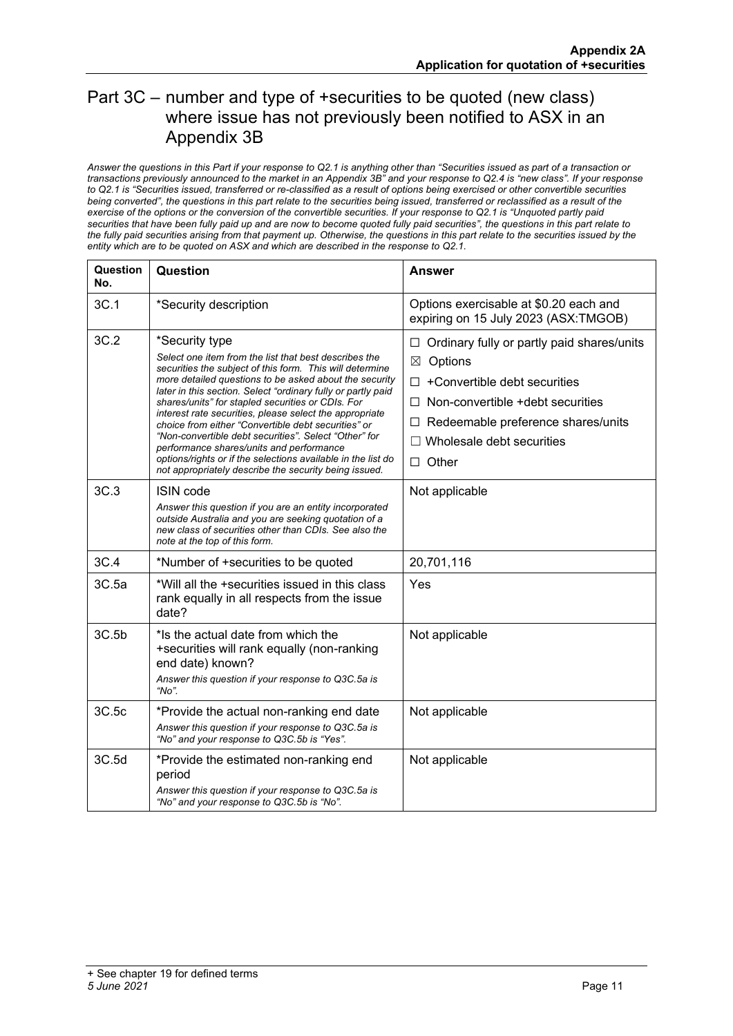#### Part 3C – number and type of +securities to be quoted (new class) where issue has not previously been notified to ASX in an Appendix 3B

*Answer the questions in this Part if your response to Q2.1 is anything other than "Securities issued as part of a transaction or transactions previously announced to the market in an Appendix 3B" and your response to Q2.4 is "new class". If your response to Q2.1 is "Securities issued, transferred or re-classified as a result of options being exercised or other convertible securities being converted", the questions in this part relate to the securities being issued, transferred or reclassified as a result of the exercise of the options or the conversion of the convertible securities. If your response to Q2.1 is "Unquoted partly paid securities that have been fully paid up and are now to become quoted fully paid securities", the questions in this part relate to the fully paid securities arising from that payment up. Otherwise, the questions in this part relate to the securities issued by the entity which are to be quoted on ASX and which are described in the response to Q2.1.*

| Question<br>No. | Question                                                                                                                                                                                                                                                                                                                                                                                                                                                                                                                                                                                                                                                           | Answer                                                                                                                                                                                                                                             |
|-----------------|--------------------------------------------------------------------------------------------------------------------------------------------------------------------------------------------------------------------------------------------------------------------------------------------------------------------------------------------------------------------------------------------------------------------------------------------------------------------------------------------------------------------------------------------------------------------------------------------------------------------------------------------------------------------|----------------------------------------------------------------------------------------------------------------------------------------------------------------------------------------------------------------------------------------------------|
| 3C.1            | *Security description                                                                                                                                                                                                                                                                                                                                                                                                                                                                                                                                                                                                                                              | Options exercisable at \$0.20 each and<br>expiring on 15 July 2023 (ASX:TMGOB)                                                                                                                                                                     |
| 3C.2            | *Security type<br>Select one item from the list that best describes the<br>securities the subject of this form. This will determine<br>more detailed questions to be asked about the security<br>later in this section. Select "ordinary fully or partly paid<br>shares/units" for stapled securities or CDIs. For<br>interest rate securities, please select the appropriate<br>choice from either "Convertible debt securities" or<br>"Non-convertible debt securities". Select "Other" for<br>performance shares/units and performance<br>options/rights or if the selections available in the list do<br>not appropriately describe the security being issued. | Ordinary fully or partly paid shares/units<br>$\Box$<br>Options<br>⊠<br>$\Box$ + Convertible debt securities<br>Non-convertible +debt securities<br>П<br>Redeemable preference shares/units<br>$\Box$<br>Wholesale debt securities<br>$\Box$ Other |
| 3C.3            | ISIN code<br>Answer this question if you are an entity incorporated<br>outside Australia and you are seeking quotation of a<br>new class of securities other than CDIs. See also the<br>note at the top of this form.                                                                                                                                                                                                                                                                                                                                                                                                                                              | Not applicable                                                                                                                                                                                                                                     |
| 3C.4            | *Number of +securities to be quoted                                                                                                                                                                                                                                                                                                                                                                                                                                                                                                                                                                                                                                | 20,701,116                                                                                                                                                                                                                                         |
| 3C.5a           | *Will all the +securities issued in this class<br>rank equally in all respects from the issue<br>date?                                                                                                                                                                                                                                                                                                                                                                                                                                                                                                                                                             | Yes                                                                                                                                                                                                                                                |
| 3C.5b           | *Is the actual date from which the<br>+securities will rank equally (non-ranking<br>end date) known?<br>Answer this question if your response to Q3C.5a is<br>" $No$ ".                                                                                                                                                                                                                                                                                                                                                                                                                                                                                            | Not applicable                                                                                                                                                                                                                                     |
| 3C.5c           | *Provide the actual non-ranking end date<br>Answer this question if your response to Q3C.5a is<br>"No" and your response to Q3C 5b is "Yes".                                                                                                                                                                                                                                                                                                                                                                                                                                                                                                                       | Not applicable                                                                                                                                                                                                                                     |
| 3C.5d           | *Provide the estimated non-ranking end<br>period<br>Answer this question if your response to Q3C.5a is<br>"No" and your response to Q3C.5b is "No".                                                                                                                                                                                                                                                                                                                                                                                                                                                                                                                | Not applicable                                                                                                                                                                                                                                     |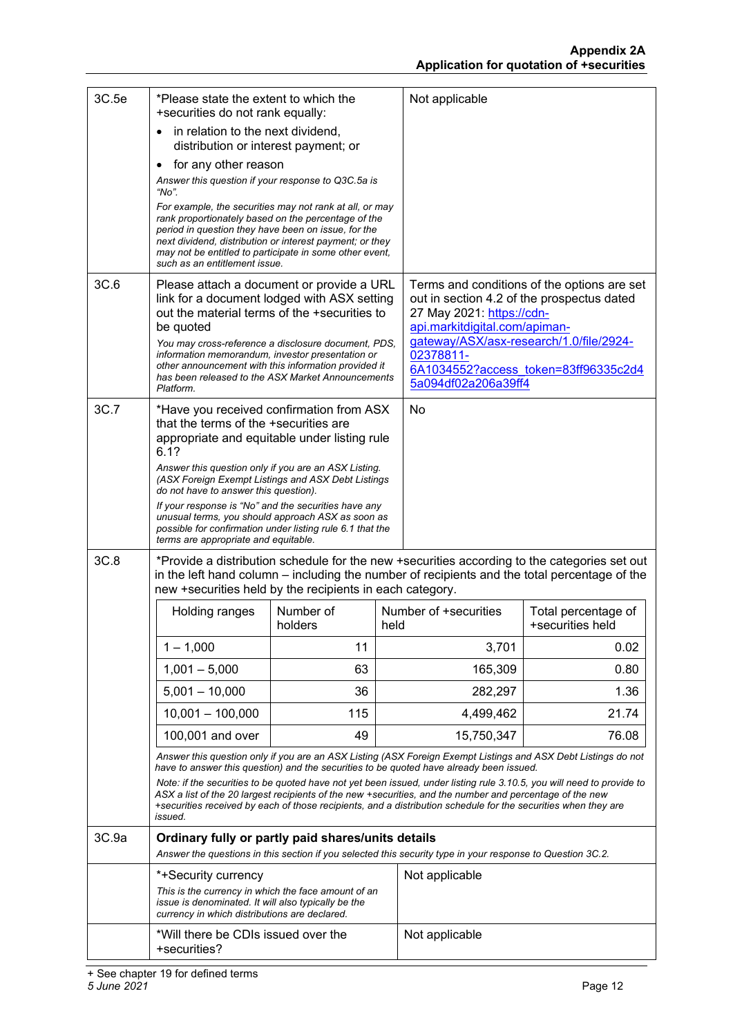| 3C.5e | *Please state the extent to which the<br>+securities do not rank equally:                                                                                                                                                                                                                                                     |                                                                                                                                                                  |      | Not applicable                                                                                                                                                                                                                                                                                                                                                                                                                         |                                                                                                                       |
|-------|-------------------------------------------------------------------------------------------------------------------------------------------------------------------------------------------------------------------------------------------------------------------------------------------------------------------------------|------------------------------------------------------------------------------------------------------------------------------------------------------------------|------|----------------------------------------------------------------------------------------------------------------------------------------------------------------------------------------------------------------------------------------------------------------------------------------------------------------------------------------------------------------------------------------------------------------------------------------|-----------------------------------------------------------------------------------------------------------------------|
|       | in relation to the next dividend,<br>distribution or interest payment; or                                                                                                                                                                                                                                                     |                                                                                                                                                                  |      |                                                                                                                                                                                                                                                                                                                                                                                                                                        |                                                                                                                       |
|       | for any other reason<br>$\bullet$                                                                                                                                                                                                                                                                                             |                                                                                                                                                                  |      |                                                                                                                                                                                                                                                                                                                                                                                                                                        |                                                                                                                       |
|       | Answer this question if your response to Q3C.5a is<br>"No".                                                                                                                                                                                                                                                                   |                                                                                                                                                                  |      |                                                                                                                                                                                                                                                                                                                                                                                                                                        |                                                                                                                       |
|       | For example, the securities may not rank at all, or may<br>rank proportionately based on the percentage of the<br>period in question they have been on issue, for the<br>next dividend, distribution or interest payment; or they<br>may not be entitled to participate in some other event.<br>such as an entitlement issue. |                                                                                                                                                                  |      |                                                                                                                                                                                                                                                                                                                                                                                                                                        |                                                                                                                       |
| 3C.6  | Please attach a document or provide a URL<br>link for a document lodged with ASX setting<br>out the material terms of the +securities to<br>be quoted<br>You may cross-reference a disclosure document, PDS,                                                                                                                  |                                                                                                                                                                  |      | 27 May 2021: https://cdn-<br>api.markitdigital.com/apiman-<br>gateway/ASX/asx-research/1.0/file/2924-                                                                                                                                                                                                                                                                                                                                  | Terms and conditions of the options are set<br>out in section 4.2 of the prospectus dated                             |
|       | information memorandum, investor presentation or<br>other announcement with this information provided it<br>has been released to the ASX Market Announcements<br>Platform.                                                                                                                                                    |                                                                                                                                                                  |      | 02378811-<br>5a094df02a206a39ff4                                                                                                                                                                                                                                                                                                                                                                                                       | 6A1034552?access token=83ff96335c2d4                                                                                  |
| 3C.7  | *Have you received confirmation from ASX<br>that the terms of the +securities are<br>appropriate and equitable under listing rule<br>6.1?                                                                                                                                                                                     |                                                                                                                                                                  |      | No                                                                                                                                                                                                                                                                                                                                                                                                                                     |                                                                                                                       |
|       | Answer this question only if you are an ASX Listing.<br>(ASX Foreign Exempt Listings and ASX Debt Listings<br>do not have to answer this question).                                                                                                                                                                           |                                                                                                                                                                  |      |                                                                                                                                                                                                                                                                                                                                                                                                                                        |                                                                                                                       |
|       | If your response is "No" and the securities have any<br>unusual terms, you should approach ASX as soon as<br>possible for confirmation under listing rule 6.1 that the<br>terms are appropriate and equitable.                                                                                                                |                                                                                                                                                                  |      |                                                                                                                                                                                                                                                                                                                                                                                                                                        |                                                                                                                       |
| 3C.8  | *Provide a distribution schedule for the new +securities according to the categories set out<br>in the left hand column – including the number of recipients and the total percentage of the<br>new +securities held by the recipients in each category.                                                                      |                                                                                                                                                                  |      |                                                                                                                                                                                                                                                                                                                                                                                                                                        |                                                                                                                       |
|       | Holding ranges                                                                                                                                                                                                                                                                                                                | Number of<br>holders                                                                                                                                             | held | Number of +securities                                                                                                                                                                                                                                                                                                                                                                                                                  | Total percentage of<br>+securities held                                                                               |
|       | $1 - 1,000$                                                                                                                                                                                                                                                                                                                   | 11                                                                                                                                                               |      | 3,701                                                                                                                                                                                                                                                                                                                                                                                                                                  | 0.02                                                                                                                  |
|       | $1,001 - 5,000$                                                                                                                                                                                                                                                                                                               | 63                                                                                                                                                               |      | 165,309                                                                                                                                                                                                                                                                                                                                                                                                                                | 0.80                                                                                                                  |
|       | $5,001 - 10,000$                                                                                                                                                                                                                                                                                                              | 36                                                                                                                                                               |      | 282,297                                                                                                                                                                                                                                                                                                                                                                                                                                | 1.36                                                                                                                  |
|       | $10,001 - 100,000$                                                                                                                                                                                                                                                                                                            | 115                                                                                                                                                              |      | 4,499,462                                                                                                                                                                                                                                                                                                                                                                                                                              | 21.74                                                                                                                 |
|       | 100,001 and over                                                                                                                                                                                                                                                                                                              | 49                                                                                                                                                               |      | 15,750,347                                                                                                                                                                                                                                                                                                                                                                                                                             | 76.08                                                                                                                 |
|       | issued.                                                                                                                                                                                                                                                                                                                       |                                                                                                                                                                  |      | Answer this question only if you are an ASX Listing (ASX Foreign Exempt Listings and ASX Debt Listings do not<br>have to answer this question) and the securities to be quoted have already been issued.<br>ASX a list of the 20 largest recipients of the new +securities, and the number and percentage of the new<br>+securities received by each of those recipients, and a distribution schedule for the securities when they are | Note: if the securities to be quoted have not yet been issued, under listing rule 3.10.5, you will need to provide to |
| 3C.9a |                                                                                                                                                                                                                                                                                                                               | Ordinary fully or partly paid shares/units details<br>Answer the questions in this section if you selected this security type in your response to Question 3C.2. |      |                                                                                                                                                                                                                                                                                                                                                                                                                                        |                                                                                                                       |
|       | *+Security currency                                                                                                                                                                                                                                                                                                           |                                                                                                                                                                  |      | Not applicable                                                                                                                                                                                                                                                                                                                                                                                                                         |                                                                                                                       |
|       | This is the currency in which the face amount of an<br>issue is denominated. It will also typically be the<br>currency in which distributions are declared.                                                                                                                                                                   |                                                                                                                                                                  |      |                                                                                                                                                                                                                                                                                                                                                                                                                                        |                                                                                                                       |
|       | *Will there be CDIs issued over the<br>+securities?                                                                                                                                                                                                                                                                           |                                                                                                                                                                  |      | Not applicable                                                                                                                                                                                                                                                                                                                                                                                                                         |                                                                                                                       |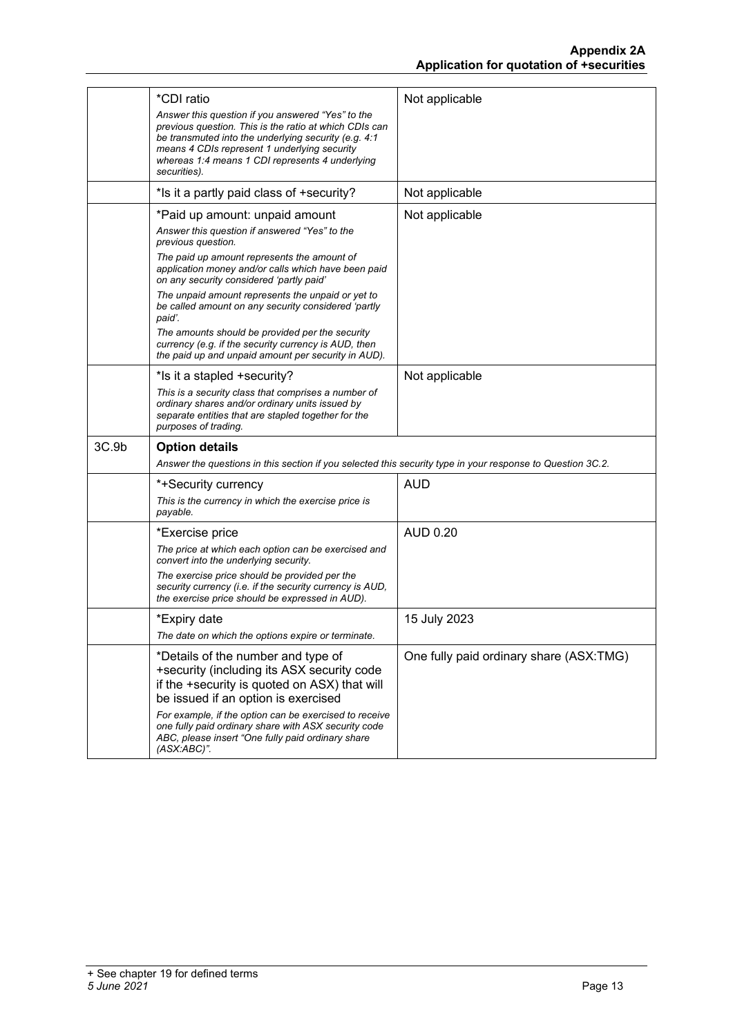|       | *CDI ratio<br>Answer this question if you answered "Yes" to the<br>previous question. This is the ratio at which CDIs can<br>be transmuted into the underlying security (e.g. 4:1<br>means 4 CDIs represent 1 underlying security<br>whereas 1:4 means 1 CDI represents 4 underlying<br>securities). | Not applicable                          |
|-------|------------------------------------------------------------------------------------------------------------------------------------------------------------------------------------------------------------------------------------------------------------------------------------------------------|-----------------------------------------|
|       | *Is it a partly paid class of +security?                                                                                                                                                                                                                                                             | Not applicable                          |
|       | *Paid up amount: unpaid amount                                                                                                                                                                                                                                                                       | Not applicable                          |
|       | Answer this question if answered "Yes" to the<br>previous question.                                                                                                                                                                                                                                  |                                         |
|       | The paid up amount represents the amount of<br>application money and/or calls which have been paid<br>on any security considered 'partly paid'                                                                                                                                                       |                                         |
|       | The unpaid amount represents the unpaid or yet to<br>be called amount on any security considered 'partly<br>paid'.                                                                                                                                                                                   |                                         |
|       | The amounts should be provided per the security<br>currency (e.g. if the security currency is AUD, then<br>the paid up and unpaid amount per security in AUD).                                                                                                                                       |                                         |
|       | *Is it a stapled +security?                                                                                                                                                                                                                                                                          | Not applicable                          |
|       | This is a security class that comprises a number of<br>ordinary shares and/or ordinary units issued by<br>separate entities that are stapled together for the<br>purposes of trading.                                                                                                                |                                         |
| 3C.9b | <b>Option details</b>                                                                                                                                                                                                                                                                                |                                         |
|       | Answer the questions in this section if you selected this security type in your response to Question 3C.2.                                                                                                                                                                                           |                                         |
|       | *+Security currency                                                                                                                                                                                                                                                                                  | <b>AUD</b>                              |
|       | This is the currency in which the exercise price is<br>payable.                                                                                                                                                                                                                                      |                                         |
|       | *Exercise price                                                                                                                                                                                                                                                                                      | <b>AUD 0.20</b>                         |
|       | The price at which each option can be exercised and<br>convert into the underlying security.                                                                                                                                                                                                         |                                         |
|       | The exercise price should be provided per the<br>security currency (i.e. if the security currency is AUD,<br>the exercise price should be expressed in AUD).                                                                                                                                         |                                         |
|       | *Expiry date                                                                                                                                                                                                                                                                                         | 15 July 2023                            |
|       | The date on which the options expire or terminate.                                                                                                                                                                                                                                                   |                                         |
|       | *Details of the number and type of<br>+security (including its ASX security code<br>if the +security is quoted on ASX) that will<br>be issued if an option is exercised                                                                                                                              | One fully paid ordinary share (ASX:TMG) |
|       | For example, if the option can be exercised to receive<br>one fully paid ordinary share with ASX security code<br>ABC, please insert "One fully paid ordinary share<br>$(ASK:ABC)$ ".                                                                                                                |                                         |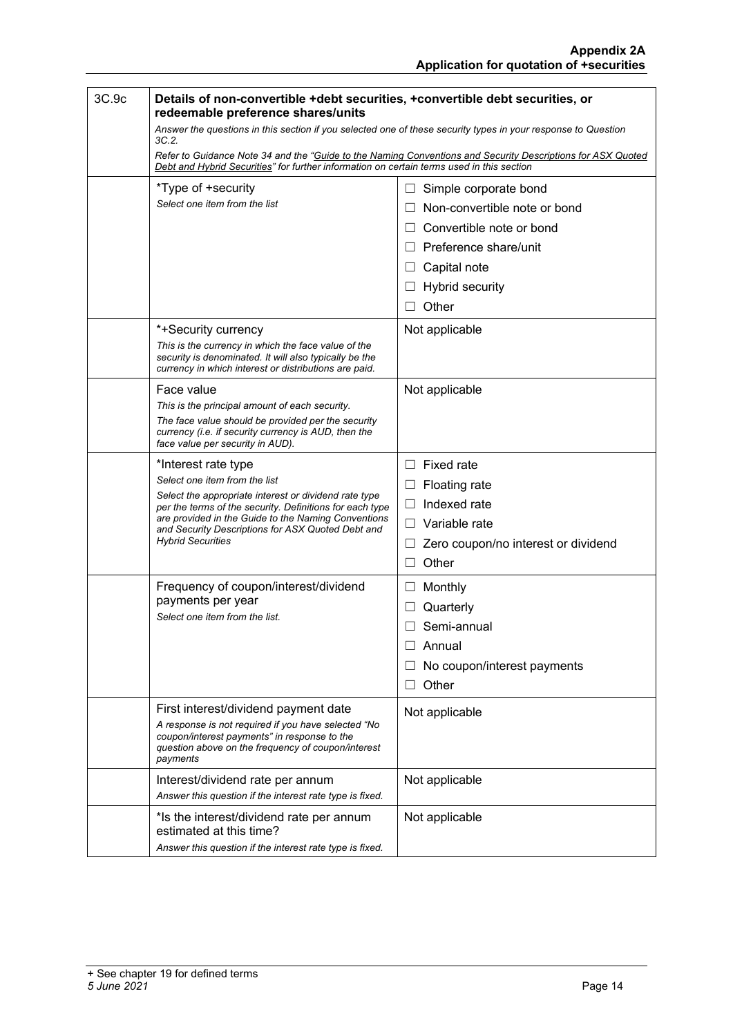| 3C.9c | Details of non-convertible +debt securities, +convertible debt securities, or<br>redeemable preference shares/units<br>Answer the questions in this section if you selected one of these security types in your response to Question<br>3C.2.             |                                               |  |
|-------|-----------------------------------------------------------------------------------------------------------------------------------------------------------------------------------------------------------------------------------------------------------|-----------------------------------------------|--|
|       |                                                                                                                                                                                                                                                           |                                               |  |
|       | Refer to Guidance Note 34 and the "Guide to the Naming Conventions and Security Descriptions for ASX Quoted<br>Debt and Hybrid Securities" for further information on certain terms used in this section                                                  |                                               |  |
|       | *Type of +security                                                                                                                                                                                                                                        | Simple corporate bond<br>$\Box$               |  |
|       | Select one item from the list                                                                                                                                                                                                                             | Non-convertible note or bond<br>$\perp$       |  |
|       |                                                                                                                                                                                                                                                           | Convertible note or bond<br>$\perp$           |  |
|       |                                                                                                                                                                                                                                                           | Preference share/unit                         |  |
|       |                                                                                                                                                                                                                                                           | Capital note<br>$\Box$                        |  |
|       |                                                                                                                                                                                                                                                           | <b>Hybrid security</b><br>$\Box$              |  |
|       |                                                                                                                                                                                                                                                           | Other                                         |  |
|       |                                                                                                                                                                                                                                                           |                                               |  |
|       | *+Security currency                                                                                                                                                                                                                                       | Not applicable                                |  |
|       | This is the currency in which the face value of the<br>security is denominated. It will also typically be the<br>currency in which interest or distributions are paid.                                                                                    |                                               |  |
|       | Face value                                                                                                                                                                                                                                                | Not applicable                                |  |
|       | This is the principal amount of each security.                                                                                                                                                                                                            |                                               |  |
|       | The face value should be provided per the security<br>currency (i.e. if security currency is AUD, then the<br>face value per security in AUD).                                                                                                            |                                               |  |
|       | *Interest rate type                                                                                                                                                                                                                                       | Fixed rate<br>$\Box$                          |  |
|       | Select one item from the list                                                                                                                                                                                                                             | <b>Floating rate</b><br>$\sqcup$              |  |
|       | Select the appropriate interest or dividend rate type<br>per the terms of the security. Definitions for each type<br>are provided in the Guide to the Naming Conventions<br>and Security Descriptions for ASX Quoted Debt and<br><b>Hybrid Securities</b> | Indexed rate<br>$\Box$                        |  |
|       |                                                                                                                                                                                                                                                           | Variable rate<br>$\Box$                       |  |
|       |                                                                                                                                                                                                                                                           | Zero coupon/no interest or dividend<br>$\Box$ |  |
|       |                                                                                                                                                                                                                                                           | Other<br>П                                    |  |
|       | Frequency of coupon/interest/dividend                                                                                                                                                                                                                     | Monthly<br>$\sqcup$                           |  |
|       | payments per year                                                                                                                                                                                                                                         | Quarterly<br>$\Box$                           |  |
|       | Select one item from the list.                                                                                                                                                                                                                            | Semi-annual                                   |  |
|       |                                                                                                                                                                                                                                                           | Annual                                        |  |
|       |                                                                                                                                                                                                                                                           | No coupon/interest payments                   |  |
|       |                                                                                                                                                                                                                                                           | Other                                         |  |
|       | First interest/dividend payment date                                                                                                                                                                                                                      | Not applicable                                |  |
|       | A response is not required if you have selected "No<br>coupon/interest payments" in response to the                                                                                                                                                       |                                               |  |
|       | question above on the frequency of coupon/interest<br>payments                                                                                                                                                                                            |                                               |  |
|       | Interest/dividend rate per annum                                                                                                                                                                                                                          | Not applicable                                |  |
|       | Answer this question if the interest rate type is fixed.                                                                                                                                                                                                  |                                               |  |
|       | *Is the interest/dividend rate per annum<br>estimated at this time?                                                                                                                                                                                       | Not applicable                                |  |
|       | Answer this question if the interest rate type is fixed.                                                                                                                                                                                                  |                                               |  |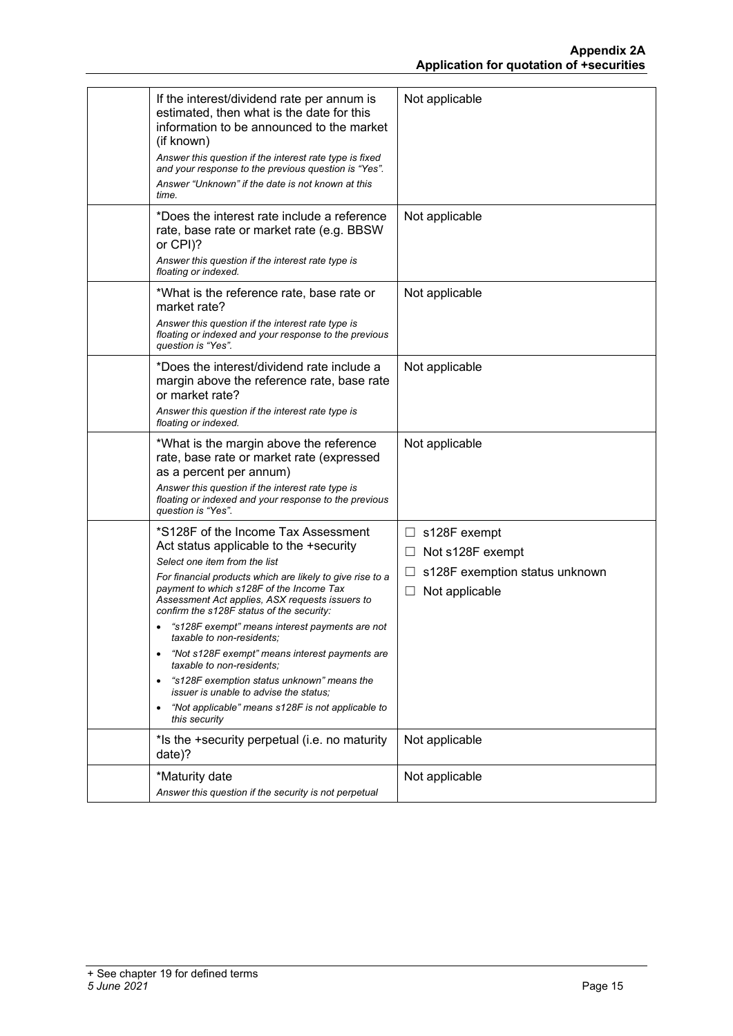| If the interest/dividend rate per annum is<br>estimated, then what is the date for this<br>information to be announced to the market<br>(if known)<br>Answer this question if the interest rate type is fixed<br>and your response to the previous question is "Yes".<br>Answer "Unknown" if the date is not known at this<br>time.                                                                                                                                                                                                                                                                                                                                               | Not applicable                                                                                             |
|-----------------------------------------------------------------------------------------------------------------------------------------------------------------------------------------------------------------------------------------------------------------------------------------------------------------------------------------------------------------------------------------------------------------------------------------------------------------------------------------------------------------------------------------------------------------------------------------------------------------------------------------------------------------------------------|------------------------------------------------------------------------------------------------------------|
| *Does the interest rate include a reference<br>rate, base rate or market rate (e.g. BBSW<br>or CPI)?<br>Answer this question if the interest rate type is<br>floating or indexed.                                                                                                                                                                                                                                                                                                                                                                                                                                                                                                 | Not applicable                                                                                             |
| *What is the reference rate, base rate or<br>market rate?<br>Answer this question if the interest rate type is<br>floating or indexed and your response to the previous<br>question is "Yes".                                                                                                                                                                                                                                                                                                                                                                                                                                                                                     | Not applicable                                                                                             |
| *Does the interest/dividend rate include a<br>margin above the reference rate, base rate<br>or market rate?<br>Answer this question if the interest rate type is<br>floating or indexed.                                                                                                                                                                                                                                                                                                                                                                                                                                                                                          | Not applicable                                                                                             |
| *What is the margin above the reference<br>rate, base rate or market rate (expressed<br>as a percent per annum)<br>Answer this question if the interest rate type is<br>floating or indexed and your response to the previous<br>question is "Yes".                                                                                                                                                                                                                                                                                                                                                                                                                               | Not applicable                                                                                             |
| *S128F of the Income Tax Assessment<br>Act status applicable to the +security<br>Select one item from the list<br>For financial products which are likely to give rise to a<br>payment to which s128F of the Income Tax<br>Assessment Act applies, ASX requests issuers to<br>confirm the s128F status of the security:<br>"s128F exempt" means interest payments are not<br>taxable to non-residents;<br>"Not s128F exempt" means interest payments are<br>$\bullet$<br>taxable to non-residents:<br>"s128F exemption status unknown" means the<br>٠<br><i>issuer is unable to advise the status:</i><br>"Not applicable" means s128F is not applicable to<br>٠<br>this security | $\Box$ s128F exempt<br>Not s128F exempt<br>ப<br>s128F exemption status unknown<br>ப<br>Not applicable<br>ப |
| *Is the +security perpetual (i.e. no maturity<br>date)?                                                                                                                                                                                                                                                                                                                                                                                                                                                                                                                                                                                                                           | Not applicable                                                                                             |
| *Maturity date<br>Answer this question if the security is not perpetual                                                                                                                                                                                                                                                                                                                                                                                                                                                                                                                                                                                                           | Not applicable                                                                                             |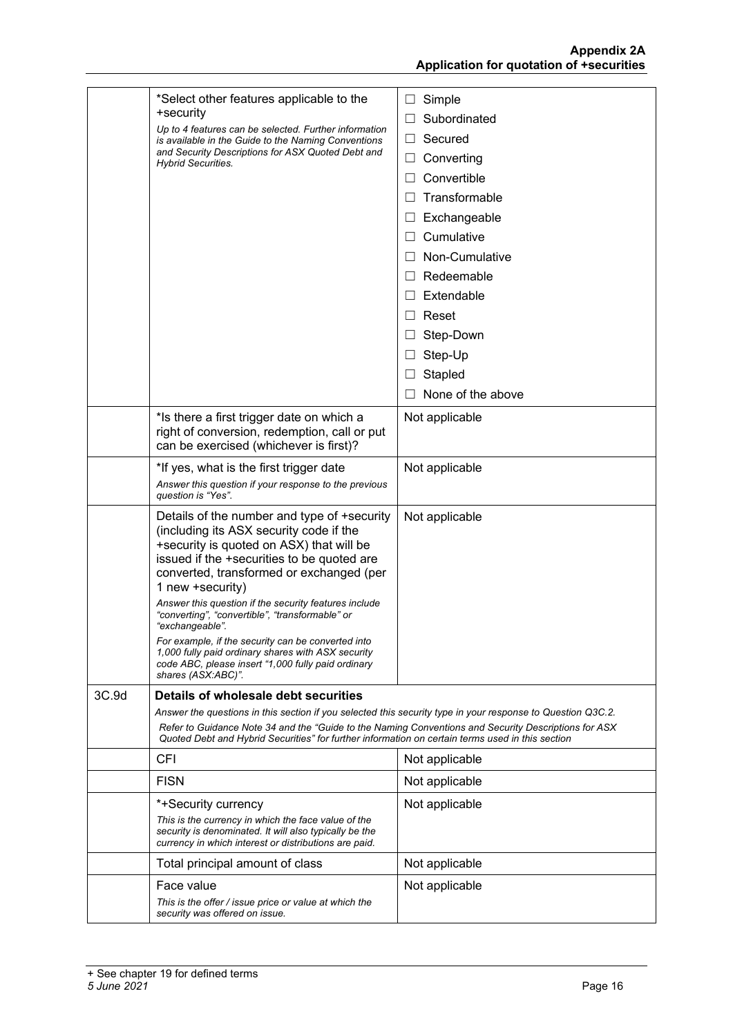|       | *Select other features applicable to the<br>+security<br>Up to 4 features can be selected. Further information<br>is available in the Guide to the Naming Conventions<br>and Security Descriptions for ASX Quoted Debt and<br><b>Hybrid Securities.</b> | Simple<br>$\Box$<br>Subordinated<br>$\Box$<br>$\Box$<br>Secured<br>Converting<br>Convertible<br>ப<br>Transformable<br>Exchangeable<br>Cumulative<br>TП<br>Non-Cumulative<br>Redeemable<br>Extendable<br>Reset<br>$\perp$<br>Step-Down |
|-------|---------------------------------------------------------------------------------------------------------------------------------------------------------------------------------------------------------------------------------------------------------|---------------------------------------------------------------------------------------------------------------------------------------------------------------------------------------------------------------------------------------|
|       |                                                                                                                                                                                                                                                         | Step-Up<br>$\Box$                                                                                                                                                                                                                     |
|       |                                                                                                                                                                                                                                                         | Stapled                                                                                                                                                                                                                               |
|       |                                                                                                                                                                                                                                                         | None of the above                                                                                                                                                                                                                     |
|       | *Is there a first trigger date on which a<br>right of conversion, redemption, call or put<br>can be exercised (whichever is first)?                                                                                                                     | Not applicable                                                                                                                                                                                                                        |
|       | *If yes, what is the first trigger date<br>Answer this question if your response to the previous<br>question is "Yes".                                                                                                                                  | Not applicable                                                                                                                                                                                                                        |
|       | Details of the number and type of +security<br>(including its ASX security code if the<br>+security is quoted on ASX) that will be<br>issued if the +securities to be quoted are<br>converted, transformed or exchanged (per<br>1 new +security)        | Not applicable                                                                                                                                                                                                                        |
|       | Answer this question if the security features include<br>"converting", "convertible", "transformable" or<br>"exchangeable".                                                                                                                             |                                                                                                                                                                                                                                       |
|       | For example, if the security can be converted into<br>1,000 fully paid ordinary shares with ASX security<br>code ABC, please insert "1,000 fully paid ordinary<br>shares (ASX:ABC)".                                                                    |                                                                                                                                                                                                                                       |
| 3C.9d | Details of wholesale debt securities                                                                                                                                                                                                                    |                                                                                                                                                                                                                                       |
|       | Answer the questions in this section if you selected this security type in your response to Question Q3C.2.<br>Refer to Guidance Note 34 and the "Guide to the Naming Conventions and Security Descriptions for ASX                                     |                                                                                                                                                                                                                                       |
|       | Quoted Debt and Hybrid Securities" for further information on certain terms used in this section                                                                                                                                                        |                                                                                                                                                                                                                                       |
|       | CFI                                                                                                                                                                                                                                                     | Not applicable                                                                                                                                                                                                                        |
|       | <b>FISN</b>                                                                                                                                                                                                                                             | Not applicable                                                                                                                                                                                                                        |
|       | *+Security currency<br>This is the currency in which the face value of the<br>security is denominated. It will also typically be the<br>currency in which interest or distributions are paid.                                                           | Not applicable                                                                                                                                                                                                                        |
|       | Total principal amount of class                                                                                                                                                                                                                         | Not applicable                                                                                                                                                                                                                        |
|       | Face value<br>This is the offer / issue price or value at which the<br>security was offered on issue.                                                                                                                                                   | Not applicable                                                                                                                                                                                                                        |
|       |                                                                                                                                                                                                                                                         |                                                                                                                                                                                                                                       |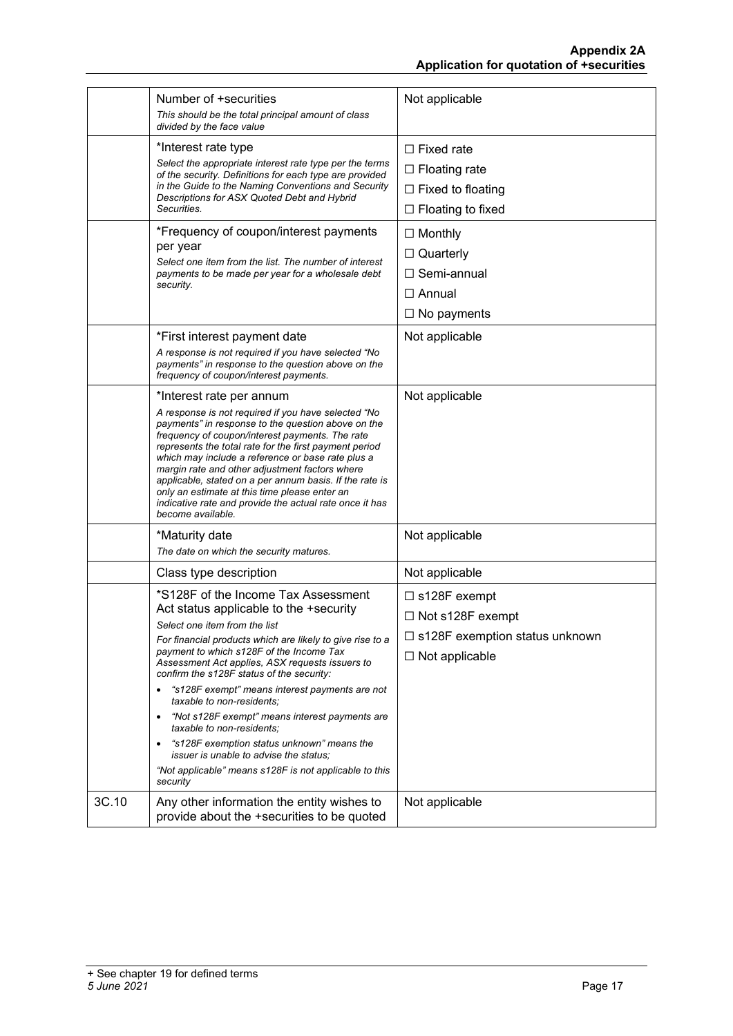|       | Number of +securities<br>This should be the total principal amount of class<br>divided by the face value                                                                                                                                                                                                                                                                                                                                                                                                                                                                                                                                                                             | Not applicable                                                                                              |
|-------|--------------------------------------------------------------------------------------------------------------------------------------------------------------------------------------------------------------------------------------------------------------------------------------------------------------------------------------------------------------------------------------------------------------------------------------------------------------------------------------------------------------------------------------------------------------------------------------------------------------------------------------------------------------------------------------|-------------------------------------------------------------------------------------------------------------|
|       | *Interest rate type<br>Select the appropriate interest rate type per the terms<br>of the security. Definitions for each type are provided<br>in the Guide to the Naming Conventions and Security<br>Descriptions for ASX Quoted Debt and Hybrid<br>Securities.                                                                                                                                                                                                                                                                                                                                                                                                                       | $\Box$ Fixed rate<br>$\Box$ Floating rate<br>$\Box$ Fixed to floating<br>$\Box$ Floating to fixed           |
|       | *Frequency of coupon/interest payments<br>per year<br>Select one item from the list. The number of interest<br>payments to be made per year for a wholesale debt<br>security.                                                                                                                                                                                                                                                                                                                                                                                                                                                                                                        | $\Box$ Monthly<br>$\Box$ Quarterly<br>$\Box$ Semi-annual<br>$\Box$ Annual<br>$\Box$ No payments             |
|       | *First interest payment date<br>A response is not required if you have selected "No<br>payments" in response to the question above on the<br>frequency of coupon/interest payments.                                                                                                                                                                                                                                                                                                                                                                                                                                                                                                  | Not applicable                                                                                              |
|       | *Interest rate per annum<br>A response is not required if you have selected "No<br>payments" in response to the question above on the<br>frequency of coupon/interest payments. The rate<br>represents the total rate for the first payment period<br>which may include a reference or base rate plus a<br>margin rate and other adjustment factors where<br>applicable, stated on a per annum basis. If the rate is<br>only an estimate at this time please enter an<br>indicative rate and provide the actual rate once it has<br>become available.                                                                                                                                | Not applicable                                                                                              |
|       | *Maturity date<br>The date on which the security matures.                                                                                                                                                                                                                                                                                                                                                                                                                                                                                                                                                                                                                            | Not applicable                                                                                              |
|       | Class type description                                                                                                                                                                                                                                                                                                                                                                                                                                                                                                                                                                                                                                                               | Not applicable                                                                                              |
|       | *S128F of the Income Tax Assessment<br>Act status applicable to the +security<br>Select one item from the list<br>For financial products which are likely to give rise to a<br>payment to which s128F of the Income Tax<br>Assessment Act applies, ASX requests issuers to<br>confirm the s128F status of the security:<br>"s128F exempt" means interest payments are not<br>taxable to non-residents;<br>"Not s128F exempt" means interest payments are<br>$\bullet$<br>taxable to non-residents:<br>"s128F exemption status unknown" means the<br>$\bullet$<br><i>issuer is unable to advise the status:</i><br>"Not applicable" means s128F is not applicable to this<br>security | $\Box$ s128F exempt<br>$\Box$ Not s128F exempt<br>□ s128F exemption status unknown<br>$\Box$ Not applicable |
| 3C.10 | Any other information the entity wishes to<br>provide about the +securities to be quoted                                                                                                                                                                                                                                                                                                                                                                                                                                                                                                                                                                                             | Not applicable                                                                                              |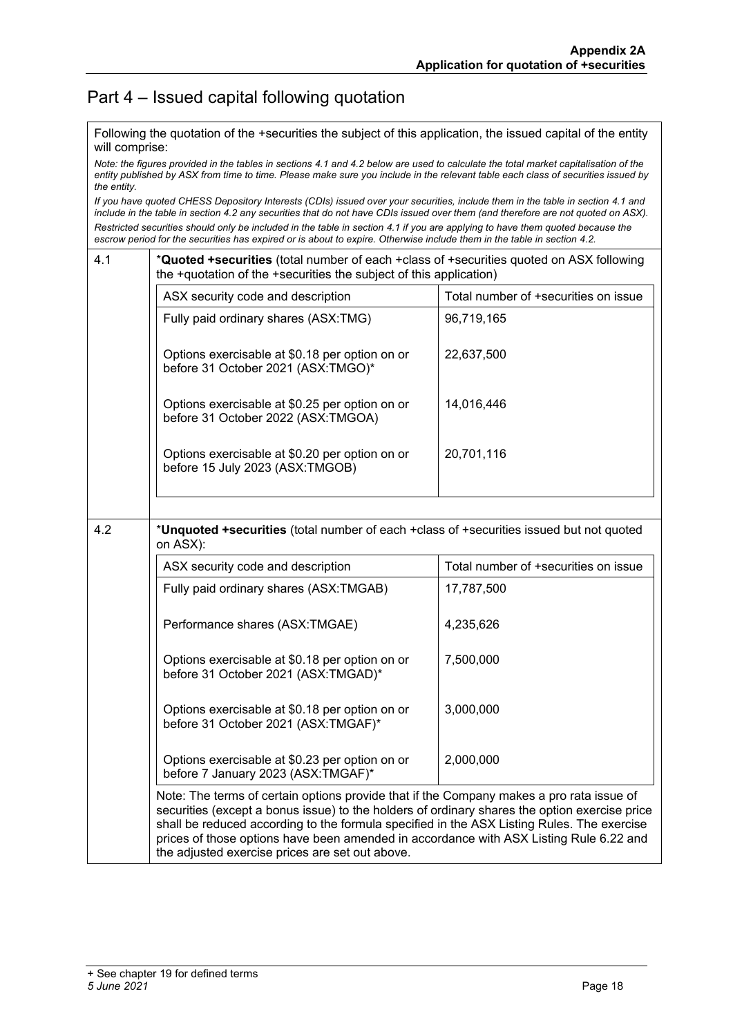### Part 4 – Issued capital following quotation

Following the quotation of the +securities the subject of this application, the issued capital of the entity will comprise:

*Note: the figures provided in the tables in sections 4.1 and 4.2 below are used to calculate the total market capitalisation of the entity published by ASX from time to time. Please make sure you include in the relevant table each class of securities issued by the entity.*

*If you have quoted CHESS Depository Interests (CDIs) issued over your securities, include them in the table in section 4.1 and include in the table in section 4.2 any securities that do not have CDIs issued over them (and therefore are not quoted on ASX). Restricted securities should only be included in the table in section 4.1 if you are applying to have them quoted because the escrow period for the securities has expired or is about to expire. Otherwise include them in the table in section 4.2.*

| 4.1 | *Quoted +securities (total number of each +class of +securities quoted on ASX following<br>the +quotation of the +securities the subject of this application)                                                                                                                                                                                                                                                                        |                                      |  |  |
|-----|--------------------------------------------------------------------------------------------------------------------------------------------------------------------------------------------------------------------------------------------------------------------------------------------------------------------------------------------------------------------------------------------------------------------------------------|--------------------------------------|--|--|
|     | ASX security code and description                                                                                                                                                                                                                                                                                                                                                                                                    | Total number of +securities on issue |  |  |
|     | Fully paid ordinary shares (ASX:TMG)                                                                                                                                                                                                                                                                                                                                                                                                 | 96,719,165                           |  |  |
|     | Options exercisable at \$0.18 per option on or<br>before 31 October 2021 (ASX:TMGO)*                                                                                                                                                                                                                                                                                                                                                 | 22,637,500                           |  |  |
|     | Options exercisable at \$0.25 per option on or<br>before 31 October 2022 (ASX:TMGOA)                                                                                                                                                                                                                                                                                                                                                 | 14,016,446                           |  |  |
|     | Options exercisable at \$0.20 per option on or<br>before 15 July 2023 (ASX:TMGOB)                                                                                                                                                                                                                                                                                                                                                    | 20,701,116                           |  |  |
|     |                                                                                                                                                                                                                                                                                                                                                                                                                                      |                                      |  |  |
| 4.2 | *Unquoted +securities (total number of each +class of +securities issued but not quoted<br>on ASX):                                                                                                                                                                                                                                                                                                                                  |                                      |  |  |
|     | ASX security code and description                                                                                                                                                                                                                                                                                                                                                                                                    | Total number of +securities on issue |  |  |
|     | Fully paid ordinary shares (ASX:TMGAB)                                                                                                                                                                                                                                                                                                                                                                                               | 17,787,500                           |  |  |
|     | Performance shares (ASX:TMGAE)                                                                                                                                                                                                                                                                                                                                                                                                       | 4,235,626                            |  |  |
|     | Options exercisable at \$0.18 per option on or<br>before 31 October 2021 (ASX:TMGAD)*                                                                                                                                                                                                                                                                                                                                                | 7,500,000                            |  |  |
|     | Options exercisable at \$0.18 per option on or<br>before 31 October 2021 (ASX:TMGAF)*                                                                                                                                                                                                                                                                                                                                                | 3,000,000                            |  |  |
|     | Options exercisable at \$0.23 per option on or<br>before 7 January 2023 (ASX:TMGAF)*                                                                                                                                                                                                                                                                                                                                                 | 2,000,000                            |  |  |
|     | Note: The terms of certain options provide that if the Company makes a pro rata issue of<br>securities (except a bonus issue) to the holders of ordinary shares the option exercise price<br>shall be reduced according to the formula specified in the ASX Listing Rules. The exercise<br>prices of those options have been amended in accordance with ASX Listing Rule 6.22 and<br>the adjusted exercise prices are set out above. |                                      |  |  |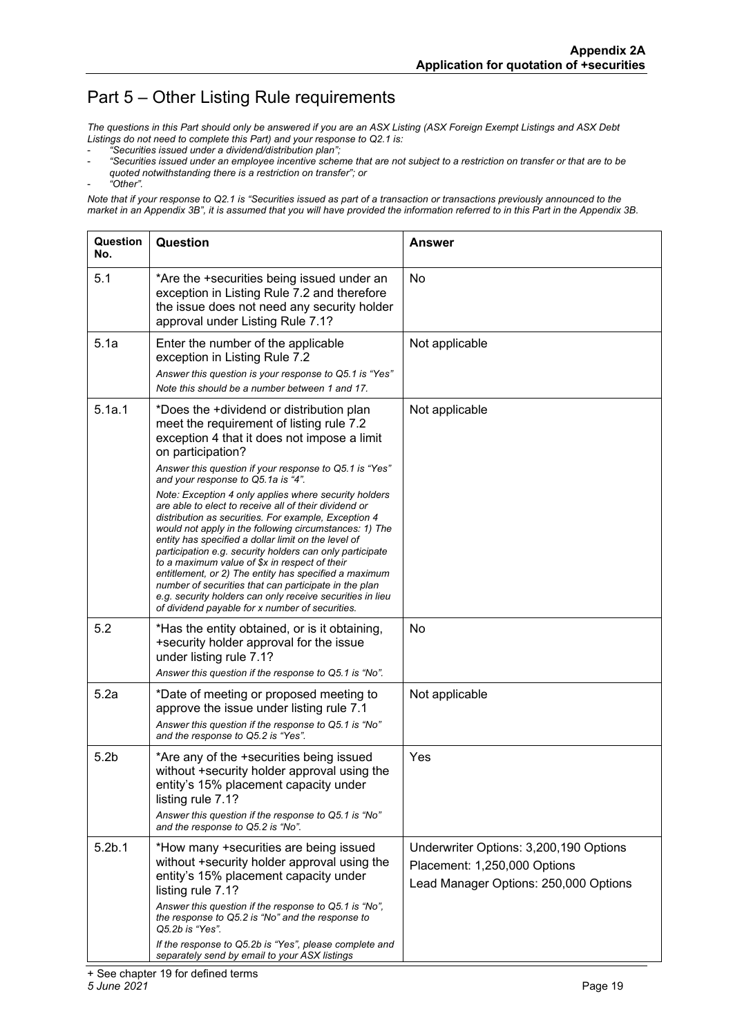### Part 5 – Other Listing Rule requirements

*The questions in this Part should only be answered if you are an ASX Listing (ASX Foreign Exempt Listings and ASX Debt Listings do not need to complete this Part) and your response to Q2.1 is:*

- *"Securities issued under a dividend/distribution plan";*
- *"Securities issued under an employee incentive scheme that are not subject to a restriction on transfer or that are to be quoted notwithstanding there is a restriction on transfer"; or*

- *"Other".*

*Note that if your response to Q2.1 is "Securities issued as part of a transaction or transactions previously announced to the market in an Appendix 3B", it is assumed that you will have provided the information referred to in this Part in the Appendix 3B.*

| Question<br>No.    | Question                                                                                                                                                                                                                                                                                                                                                                                                                                                                                                                                                                                                                                                                                                                               | <b>Answer</b>                                                                                                   |
|--------------------|----------------------------------------------------------------------------------------------------------------------------------------------------------------------------------------------------------------------------------------------------------------------------------------------------------------------------------------------------------------------------------------------------------------------------------------------------------------------------------------------------------------------------------------------------------------------------------------------------------------------------------------------------------------------------------------------------------------------------------------|-----------------------------------------------------------------------------------------------------------------|
| 5.1                | *Are the +securities being issued under an<br>exception in Listing Rule 7.2 and therefore<br>the issue does not need any security holder<br>approval under Listing Rule 7.1?                                                                                                                                                                                                                                                                                                                                                                                                                                                                                                                                                           | <b>No</b>                                                                                                       |
| 5.1a               | Enter the number of the applicable<br>exception in Listing Rule 7.2<br>Answer this question is your response to Q5.1 is "Yes"<br>Note this should be a number between 1 and 17.                                                                                                                                                                                                                                                                                                                                                                                                                                                                                                                                                        | Not applicable                                                                                                  |
| 5.1a.1             | *Does the +dividend or distribution plan<br>meet the requirement of listing rule 7.2<br>exception 4 that it does not impose a limit<br>on participation?                                                                                                                                                                                                                                                                                                                                                                                                                                                                                                                                                                               | Not applicable                                                                                                  |
|                    | Answer this question if your response to Q5.1 is "Yes"<br>and your response to Q5.1a is "4".<br>Note: Exception 4 only applies where security holders<br>are able to elect to receive all of their dividend or<br>distribution as securities. For example, Exception 4<br>would not apply in the following circumstances: 1) The<br>entity has specified a dollar limit on the level of<br>participation e.g. security holders can only participate<br>to a maximum value of \$x in respect of their<br>entitlement, or 2) The entity has specified a maximum<br>number of securities that can participate in the plan<br>e.g. security holders can only receive securities in lieu<br>of dividend payable for x number of securities. |                                                                                                                 |
| 5.2                | *Has the entity obtained, or is it obtaining,<br>+security holder approval for the issue<br>under listing rule 7.1?<br>Answer this question if the response to Q5.1 is "No".                                                                                                                                                                                                                                                                                                                                                                                                                                                                                                                                                           | No                                                                                                              |
| 5.2a               | *Date of meeting or proposed meeting to<br>approve the issue under listing rule 7.1<br>Answer this question if the response to Q5.1 is "No"<br>and the response to Q5.2 is "Yes".                                                                                                                                                                                                                                                                                                                                                                                                                                                                                                                                                      | Not applicable                                                                                                  |
| 5.2 <sub>b</sub>   | *Are any of the +securities being issued<br>without +security holder approval using the<br>entity's 15% placement capacity under<br>listing rule 7.1?<br>Answer this question if the response to Q5.1 is "No"<br>and the response to Q5.2 is "No".                                                                                                                                                                                                                                                                                                                                                                                                                                                                                     | Yes                                                                                                             |
| 5.2 <sub>b.1</sub> | *How many +securities are being issued<br>without +security holder approval using the<br>entity's 15% placement capacity under<br>listing rule 7.1?<br>Answer this question if the response to Q5.1 is "No".<br>the response to Q5.2 is "No" and the response to<br>Q5.2b is "Yes".                                                                                                                                                                                                                                                                                                                                                                                                                                                    | Underwriter Options: 3,200,190 Options<br>Placement: 1,250,000 Options<br>Lead Manager Options: 250,000 Options |
|                    | If the response to Q5.2b is "Yes", please complete and<br>separately send by email to your ASX listings                                                                                                                                                                                                                                                                                                                                                                                                                                                                                                                                                                                                                                |                                                                                                                 |